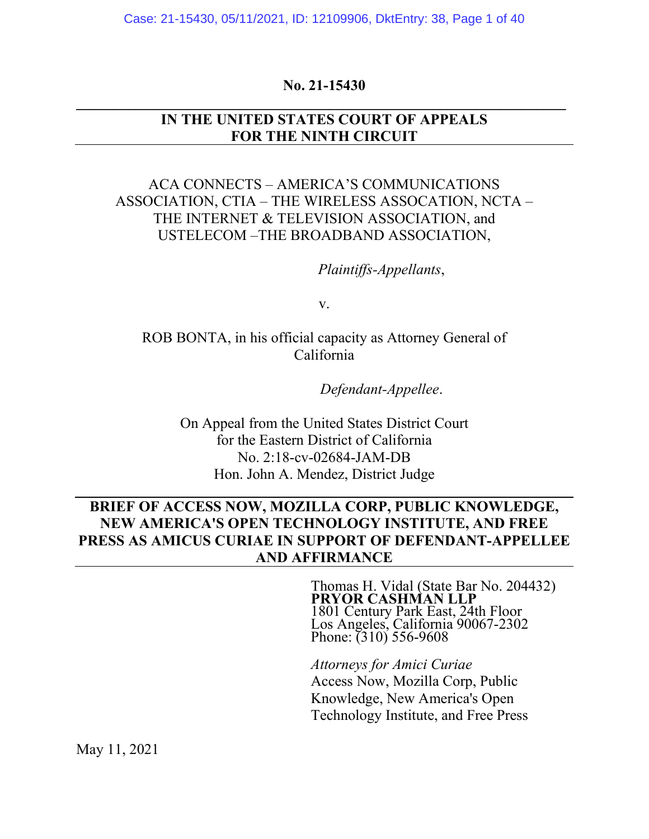### **No. 21-15430 \_\_\_\_\_\_\_\_\_\_\_\_\_\_\_\_\_\_\_\_\_\_\_\_\_\_\_\_\_\_\_\_\_\_\_\_\_\_\_\_\_\_\_\_\_\_\_\_\_\_\_\_\_\_\_\_\_\_\_\_\_\_\_\_\_\_**

### **IN THE UNITED STATES COURT OF APPEALS FOR THE NINTH CIRCUIT**

### ACA CONNECTS – AMERICA'S COMMUNICATIONS ASSOCIATION, CTIA – THE WIRELESS ASSOCATION, NCTA – THE INTERNET & TELEVISION ASSOCIATION, and USTELECOM –THE BROADBAND ASSOCIATION,

*Plaintiffs-Appellants*,

v.

ROB BONTA, in his official capacity as Attorney General of California

*Defendant-Appellee*.

On Appeal from the United States District Court for the Eastern District of California No. 2:18-cv-02684-JAM-DB Hon. John A. Mendez, District Judge

## **BRIEF OF ACCESS NOW, MOZILLA CORP, PUBLIC KNOWLEDGE, NEW AMERICA'S OPEN TECHNOLOGY INSTITUTE, AND FREE PRESS AS AMICUS CURIAE IN SUPPORT OF DEFENDANT-APPELLEE AND AFFIRMANCE**

Thomas H. Vidal (State Bar No. 204432) **PRYOR CASHMAN LLP**  1801 Century Park East, 24th Floor Los Angeles, California 90067-2302 Phone: (310) 556-9608

*Attorneys for Amici Curiae*  Access Now, Mozilla Corp, Public Knowledge, New America's Open Technology Institute, and Free Press

May 11, 2021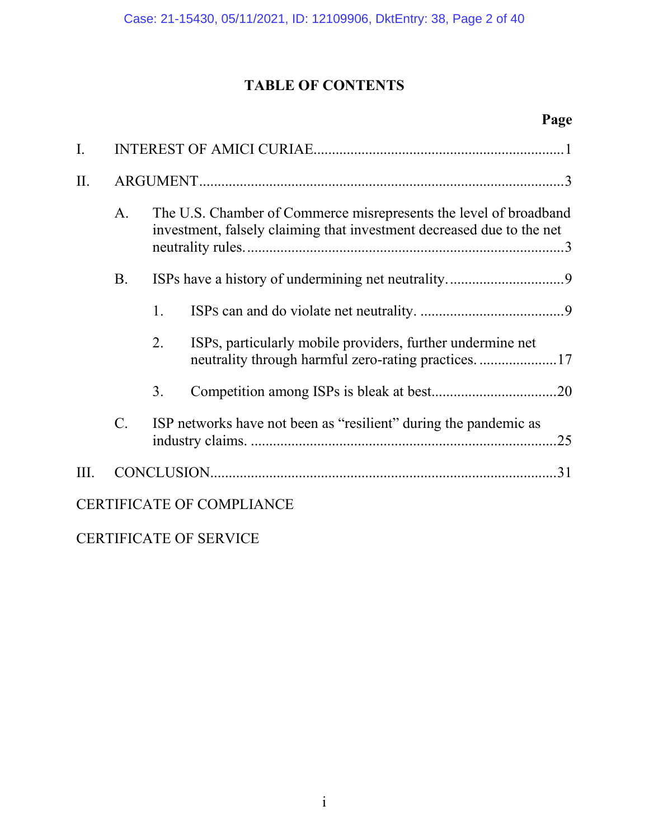# **TABLE OF CONTENTS**

# **Page**

| $\overline{I}$ .                 |                 |    |                                                                                                                                            |  |  |  |
|----------------------------------|-----------------|----|--------------------------------------------------------------------------------------------------------------------------------------------|--|--|--|
| II.                              |                 |    |                                                                                                                                            |  |  |  |
|                                  | A.              |    | The U.S. Chamber of Commerce misrepresents the level of broadband<br>investment, falsely claiming that investment decreased due to the net |  |  |  |
|                                  | <b>B.</b>       |    |                                                                                                                                            |  |  |  |
|                                  |                 | 1. |                                                                                                                                            |  |  |  |
|                                  |                 | 2. | ISPs, particularly mobile providers, further undermine net                                                                                 |  |  |  |
|                                  |                 | 3. |                                                                                                                                            |  |  |  |
|                                  | $\mathcal{C}$ . |    | ISP networks have not been as "resilient" during the pandemic as<br>.25                                                                    |  |  |  |
| III.                             |                 |    |                                                                                                                                            |  |  |  |
| <b>CERTIFICATE OF COMPLIANCE</b> |                 |    |                                                                                                                                            |  |  |  |

CERTIFICATE OF SERVICE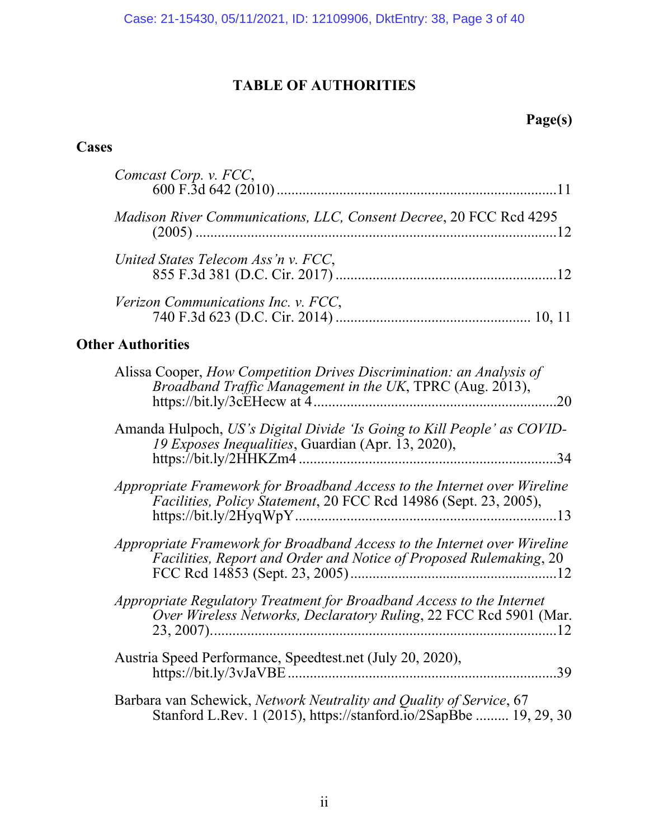# **TABLE OF AUTHORITIES**

# **Page(s)**

## **Cases**

| Comcast Corp. v. FCC,                                                                                                                          |  |  |  |  |  |
|------------------------------------------------------------------------------------------------------------------------------------------------|--|--|--|--|--|
| Madison River Communications, LLC, Consent Decree, 20 FCC Rcd 4295                                                                             |  |  |  |  |  |
| United States Telecom Ass'n v. FCC,                                                                                                            |  |  |  |  |  |
| Verizon Communications Inc. v. FCC,                                                                                                            |  |  |  |  |  |
| <b>Other Authorities</b>                                                                                                                       |  |  |  |  |  |
| Alissa Cooper, How Competition Drives Discrimination: an Analysis of<br>Broadband Traffic Management in the UK, TPRC (Aug. 2013),              |  |  |  |  |  |
| Amanda Hulpoch, US's Digital Divide 'Is Going to Kill People' as COVID-<br>19 Exposes Inequalities, Guardian (Apr. 13, 2020),                  |  |  |  |  |  |
| Appropriate Framework for Broadband Access to the Internet over Wireline<br>Facilities, Policy Statement, 20 FCC Rcd 14986 (Sept. 23, 2005),   |  |  |  |  |  |
| Appropriate Framework for Broadband Access to the Internet over Wireline<br>Facilities, Report and Order and Notice of Proposed Rulemaking, 20 |  |  |  |  |  |
| Appropriate Regulatory Treatment for Broadband Access to the Internet<br>Over Wireless Networks, Declaratory Ruling, 22 FCC Rcd 5901 (Mar.     |  |  |  |  |  |
| Austria Speed Performance, Speedtest.net (July 20, 2020),<br>.39                                                                               |  |  |  |  |  |
| Barbara van Schewick, Network Neutrality and Quality of Service, 67<br>Stanford L.Rev. 1 (2015), https://stanford.io/2SapBbe  19, 29, 30       |  |  |  |  |  |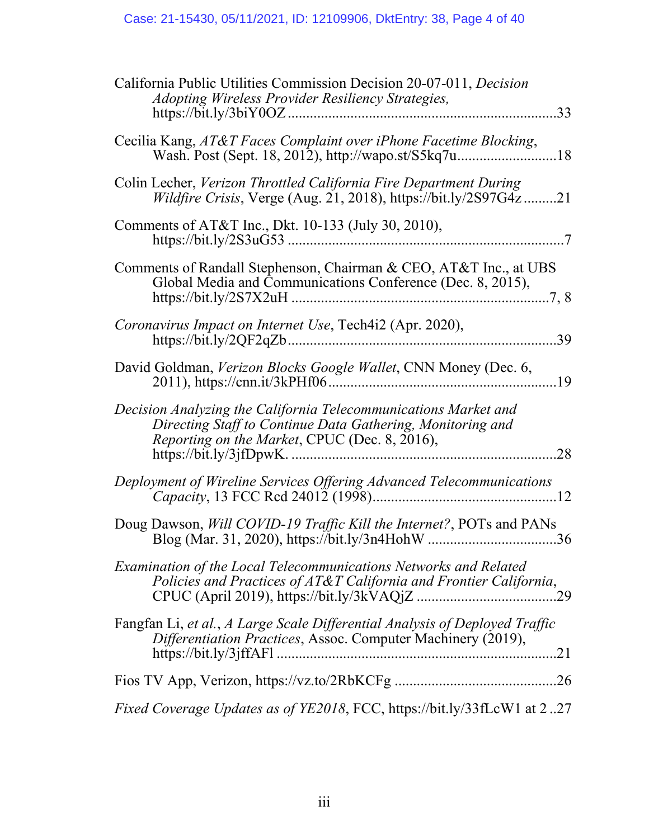| California Public Utilities Commission Decision 20-07-011, Decision<br>Adopting Wireless Provider Resiliency Strategies,                                                       |  |  |  |  |
|--------------------------------------------------------------------------------------------------------------------------------------------------------------------------------|--|--|--|--|
| Cecilia Kang, AT&T Faces Complaint over iPhone Facetime Blocking,<br>Wash. Post (Sept. 18, 2012), http://wapo.st/S5kq7u18                                                      |  |  |  |  |
| Colin Lecher, Verizon Throttled California Fire Department During<br><i>Wildfire Crisis</i> , Verge (Aug. 21, 2018), https://bit.ly/2S97G4z21                                  |  |  |  |  |
| Comments of AT&T Inc., Dkt. 10-133 (July 30, 2010),                                                                                                                            |  |  |  |  |
| Comments of Randall Stephenson, Chairman & CEO, AT&T Inc., at UBS<br>Global Media and Communications Conference (Dec. 8, 2015),                                                |  |  |  |  |
| Coronavirus Impact on Internet Use, Tech4i2 (Apr. 2020),<br>39                                                                                                                 |  |  |  |  |
| David Goldman, Verizon Blocks Google Wallet, CNN Money (Dec. 6,                                                                                                                |  |  |  |  |
| Decision Analyzing the California Telecommunications Market and<br>Directing Staff to Continue Data Gathering, Monitoring and<br>Reporting on the Market, CPUC (Dec. 8, 2016), |  |  |  |  |
| Deployment of Wireline Services Offering Advanced Telecommunications                                                                                                           |  |  |  |  |
| Doug Dawson, Will COVID-19 Traffic Kill the Internet?, POTs and PANs<br>Blog (Mar. 31, 2020), https://bit.ly/3n4HohW 36                                                        |  |  |  |  |
| Examination of the Local Telecommunications Networks and Related<br>Policies and Practices of AT&T California and Frontier California,                                         |  |  |  |  |
| Fangfan Li, et al., A Large Scale Differential Analysis of Deployed Traffic<br>Differentiation Practices, Assoc. Computer Machinery (2019),                                    |  |  |  |  |
|                                                                                                                                                                                |  |  |  |  |
| <i>Fixed Coverage Updates as of YE2018</i> , FCC, https://bit.ly/33fLcW1 at 227                                                                                                |  |  |  |  |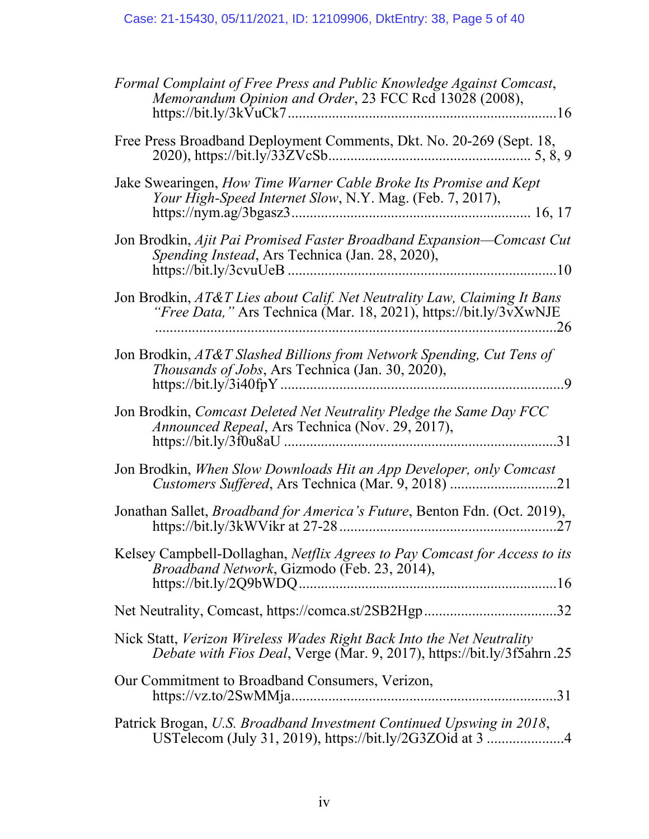| Formal Complaint of Free Press and Public Knowledge Against Comcast,<br>Memorandum Opinion and Order, 23 FCC Rcd 13028 (2008),                  |
|-------------------------------------------------------------------------------------------------------------------------------------------------|
| Free Press Broadband Deployment Comments, Dkt. No. 20-269 (Sept. 18,                                                                            |
| Jake Swearingen, How Time Warner Cable Broke Its Promise and Kept<br>Your High-Speed Internet Slow, N.Y. Mag. (Feb. 7, 2017),                   |
| Jon Brodkin, Ajit Pai Promised Faster Broadband Expansion—Comcast Cut<br>Spending Instead, Ars Technica (Jan. 28, 2020),                        |
| Jon Brodkin, AT&T Lies about Calif. Net Neutrality Law, Claiming It Bans<br>"Free Data, " Ars Technica (Mar. 18, 2021), https://bit.ly/3vXwNJE  |
| Jon Brodkin, AT&T Slashed Billions from Network Spending, Cut Tens of<br>Thousands of Jobs, Ars Technica (Jan. 30, 2020),                       |
| Jon Brodkin, Comcast Deleted Net Neutrality Pledge the Same Day FCC<br>Announced Repeal, Ars Technica (Nov. 29, 2017),                          |
| Jon Brodkin, When Slow Downloads Hit an App Developer, only Comcast                                                                             |
| Jonathan Sallet, <i>Broadband for America's Future</i> , Benton Fdn. (Oct. 2019),                                                               |
| Kelsey Campbell-Dollaghan, Netflix Agrees to Pay Comcast for Access to its<br>Broadband Network, Gizmodo (Feb. 23, 2014),                       |
|                                                                                                                                                 |
| Nick Statt, Verizon Wireless Wades Right Back Into the Net Neutrality<br>Debate with Fios Deal, Verge (Mar. 9, 2017), https://bit.ly/3f5ahrn.25 |
| Our Commitment to Broadband Consumers, Verizon,                                                                                                 |
| Patrick Brogan, U.S. Broadband Investment Continued Upswing in 2018,<br>USTelecom (July 31, 2019), https://bit.ly/2G3ZOid at 3 4                |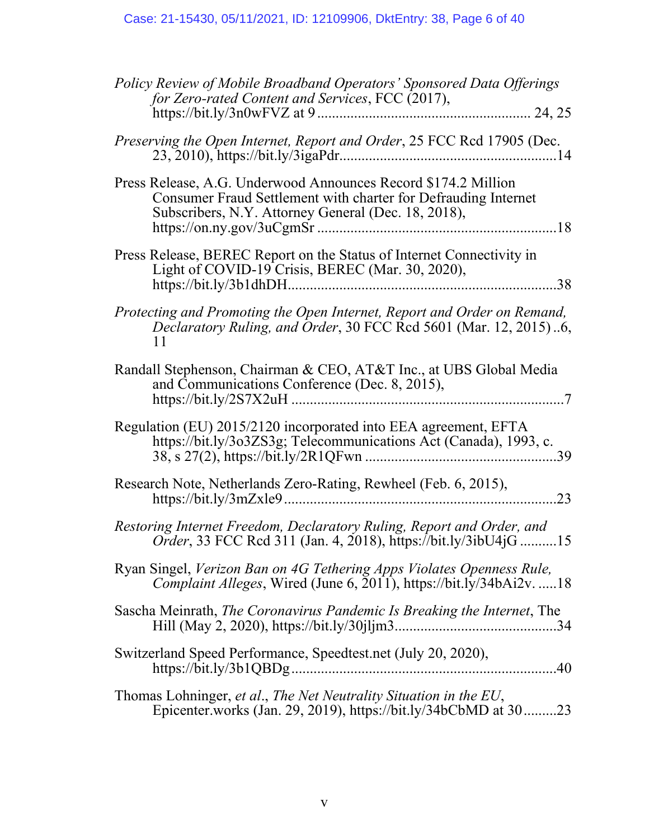| Policy Review of Mobile Broadband Operators' Sponsored Data Offerings<br>for Zero-rated Content and Services, FCC (2017),                                                               |
|-----------------------------------------------------------------------------------------------------------------------------------------------------------------------------------------|
| Preserving the Open Internet, Report and Order, 25 FCC Rcd 17905 (Dec.                                                                                                                  |
| Press Release, A.G. Underwood Announces Record \$174.2 Million<br>Consumer Fraud Settlement with charter for Defrauding Internet<br>Subscribers, N.Y. Attorney General (Dec. 18, 2018), |
| Press Release, BEREC Report on the Status of Internet Connectivity in<br>Light of COVID-19 Crisis, BEREC (Mar. 30, 2020),                                                               |
| Protecting and Promoting the Open Internet, Report and Order on Remand,<br>Declaratory Ruling, and Order, 30 FCC Rcd 5601 (Mar. 12, 2015)6,<br>11                                       |
| Randall Stephenson, Chairman & CEO, AT&T Inc., at UBS Global Media<br>and Communications Conference (Dec. 8, 2015),                                                                     |
| Regulation (EU) 2015/2120 incorporated into EEA agreement, EFTA<br>https://bit.ly/3o3ZS3g; Telecommunications Act (Canada), 1993, c.                                                    |
| Research Note, Netherlands Zero-Rating, Rewheel (Feb. 6, 2015),<br>23                                                                                                                   |
| Restoring Internet Freedom, Declaratory Ruling, Report and Order, and<br><i>Order</i> , 33 FCC Rcd 311 (Jan. 4, 2018), https://bit.ly/3ibU4jG15                                         |
| Ryan Singel, Verizon Ban on 4G Tethering Apps Violates Openness Rule,<br>Complaint Alleges, Wired (June 6, 2011), https://bit.ly/34bAi2v. 18                                            |
| Sascha Meinrath, The Coronavirus Pandemic Is Breaking the Internet, The                                                                                                                 |
| Switzerland Speed Performance, Speedtest.net (July 20, 2020),                                                                                                                           |
| Thomas Lohninger, et al., The Net Neutrality Situation in the EU,<br>Epicenter.works (Jan. 29, 2019), https://bit.ly/34bCbMD at 3023                                                    |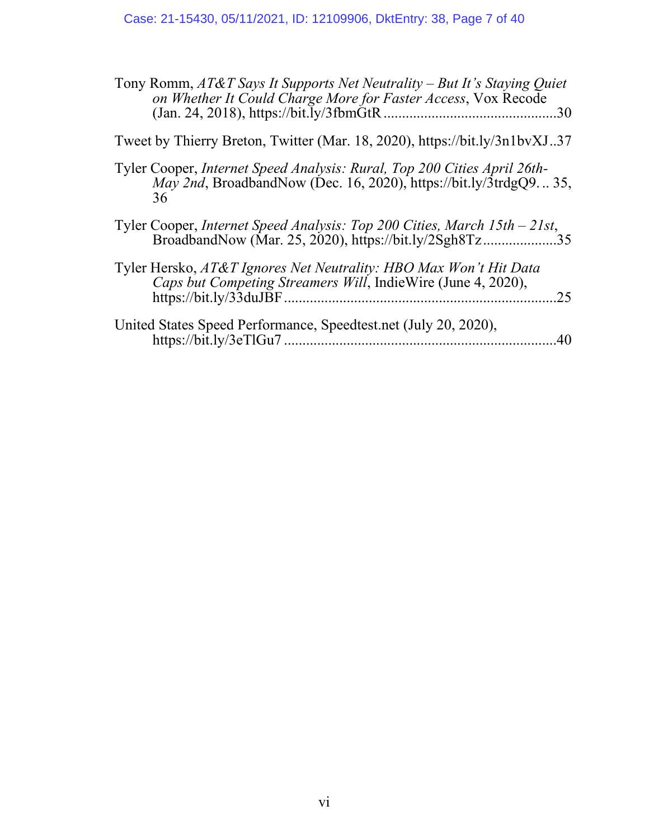| Tony Romm, AT&T Says It Supports Net Neutrality – But It's Staying Quiet<br>on Whether It Could Charge More for Faster Access, Vox Recode<br>.30            |
|-------------------------------------------------------------------------------------------------------------------------------------------------------------|
| Tweet by Thierry Breton, Twitter (Mar. 18, 2020), https://bit.ly/3n1bvXJ37                                                                                  |
| Tyler Cooper, Internet Speed Analysis: Rural, Top 200 Cities April 26th-<br><i>May 2nd</i> , BroadbandNow (Dec. 16, 2020), https://bit.ly/3trdgQ9 35,<br>36 |
| Tyler Cooper, Internet Speed Analysis: Top 200 Cities, March 15th - 21st,<br>BroadbandNow (Mar. 25, 2020), https://bit.ly/2Sgh8Tz35                         |
| Tyler Hersko, AT&T Ignores Net Neutrality: HBO Max Won't Hit Data<br>Caps but Competing Streamers Will, IndieWire (June 4, 2020),<br>25                     |
| United States Speed Performance, Speedtest.net (July 20, 2020),<br>40                                                                                       |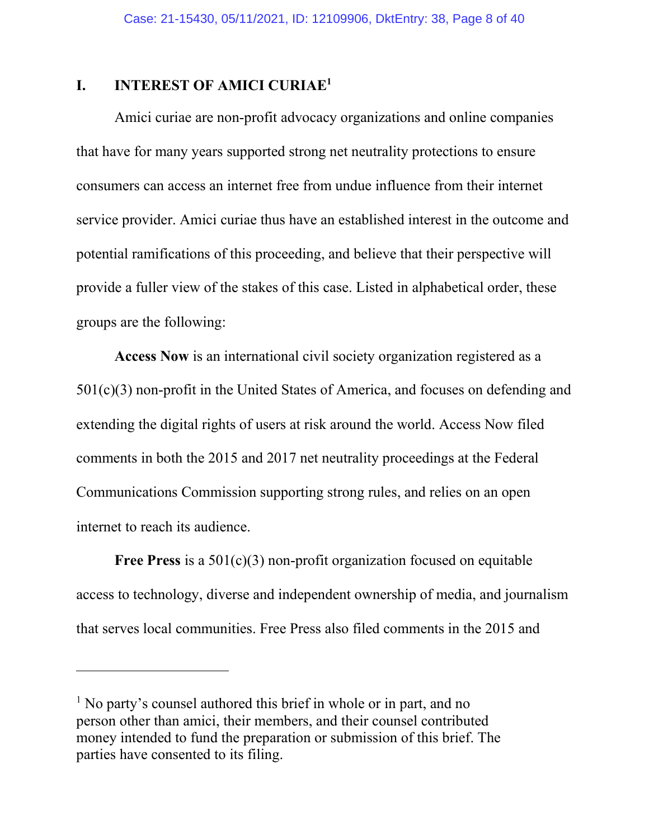### <span id="page-7-0"></span>**I. INTEREST OF AMICI CURIAE<sup>1</sup>**

Amici curiae are non-profit advocacy organizations and online companies that have for many years supported strong net neutrality protections to ensure consumers can access an internet free from undue influence from their internet service provider. Amici curiae thus have an established interest in the outcome and potential ramifications of this proceeding, and believe that their perspective will provide a fuller view of the stakes of this case. Listed in alphabetical order, these groups are the following:

**Access Now** is an international civil society organization registered as a 501(c)(3) non-profit in the United States of America, and focuses on defending and extending the digital rights of users at risk around the world. Access Now filed comments in both the 2015 and 2017 net neutrality proceedings at the Federal Communications Commission supporting strong rules, and relies on an open internet to reach its audience.

Free Press is a 501(c)(3) non-profit organization focused on equitable access to technology, diverse and independent ownership of media, and journalism that serves local communities. Free Press also filed comments in the 2015 and

<sup>&</sup>lt;sup>1</sup> No party's counsel authored this brief in whole or in part, and no person other than amici, their members, and their counsel contributed money intended to fund the preparation or submission of this brief. The parties have consented to its filing.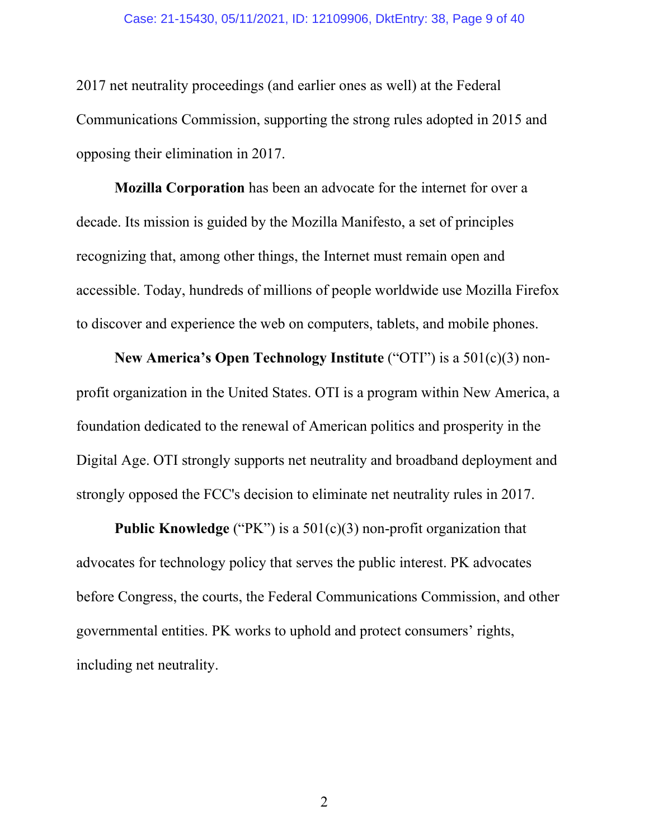#### Case: 21-15430, 05/11/2021, ID: 12109906, DktEntry: 38, Page 9 of 40

2017 net neutrality proceedings (and earlier ones as well) at the Federal Communications Commission, supporting the strong rules adopted in 2015 and opposing their elimination in 2017.

**Mozilla Corporation** has been an advocate for the internet for over a decade. Its mission is guided by the Mozilla Manifesto, a set of principles recognizing that, among other things, the Internet must remain open and accessible. Today, hundreds of millions of people worldwide use Mozilla Firefox to discover and experience the web on computers, tablets, and mobile phones.

**New America's Open Technology Institute** ("OTI") is a 501(c)(3) nonprofit organization in the United States. OTI is a program within New America, a foundation dedicated to the renewal of American politics and prosperity in the Digital Age. OTI strongly supports net neutrality and broadband deployment and strongly opposed the FCC's decision to eliminate net neutrality rules in 2017.

**Public Knowledge** ("PK") is a 501(c)(3) non-profit organization that advocates for technology policy that serves the public interest. PK advocates before Congress, the courts, the Federal Communications Commission, and other governmental entities. PK works to uphold and protect consumers' rights, including net neutrality.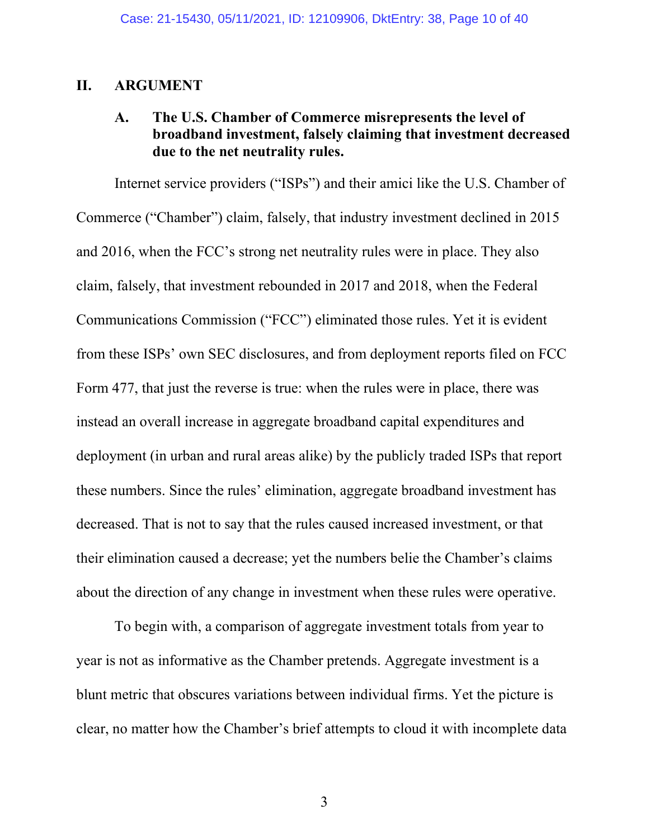### <span id="page-9-1"></span><span id="page-9-0"></span>**II. ARGUMENT**

### **A. The U.S. Chamber of Commerce misrepresents the level of broadband investment, falsely claiming that investment decreased due to the net neutrality rules.**

Internet service providers ("ISPs") and their amici like the U.S. Chamber of Commerce ("Chamber") claim, falsely, that industry investment declined in 2015 and 2016, when the FCC's strong net neutrality rules were in place. They also claim, falsely, that investment rebounded in 2017 and 2018, when the Federal Communications Commission ("FCC") eliminated those rules. Yet it is evident from these ISPs' own SEC disclosures, and from deployment reports filed on FCC Form 477, that just the reverse is true: when the rules were in place, there was instead an overall increase in aggregate broadband capital expenditures and deployment (in urban and rural areas alike) by the publicly traded ISPs that report these numbers. Since the rules' elimination, aggregate broadband investment has decreased. That is not to say that the rules caused increased investment, or that their elimination caused a decrease; yet the numbers belie the Chamber's claims about the direction of any change in investment when these rules were operative.

To begin with, a comparison of aggregate investment totals from year to year is not as informative as the Chamber pretends. Aggregate investment is a blunt metric that obscures variations between individual firms. Yet the picture is clear, no matter how the Chamber's brief attempts to cloud it with incomplete data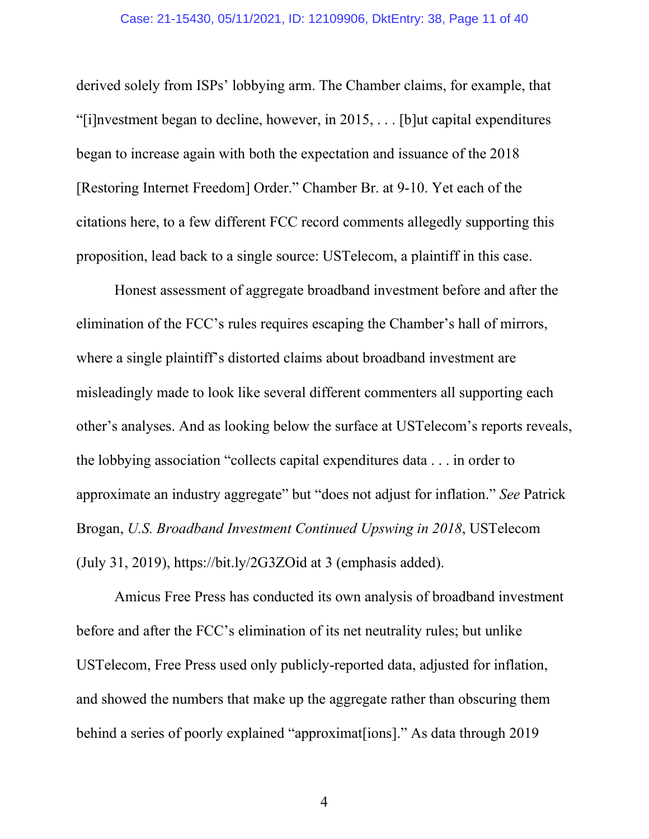#### Case: 21-15430, 05/11/2021, ID: 12109906, DktEntry: 38, Page 11 of 40

derived solely from ISPs' lobbying arm. The Chamber claims, for example, that "[i]nvestment began to decline, however, in 2015, . . . [b]ut capital expenditures began to increase again with both the expectation and issuance of the 2018 [Restoring Internet Freedom] Order." Chamber Br. at 9-10. Yet each of the citations here, to a few different FCC record comments allegedly supporting this proposition, lead back to a single source: USTelecom, a plaintiff in this case.

Honest assessment of aggregate broadband investment before and after the elimination of the FCC's rules requires escaping the Chamber's hall of mirrors, where a single plaintiff's distorted claims about broadband investment are misleadingly made to look like several different commenters all supporting each other's analyses. And as looking below the surface at USTelecom's reports reveals, the lobbying association "collects capital expenditures data . . . in order to approximate an industry aggregate" but "does not adjust for inflation." *See* Patrick Brogan, *U.S. Broadband Investment Continued Upswing in 2018*, USTelecom (July 31, 2019), https://bit.ly/2G3ZOid at 3 (emphasis added).

Amicus Free Press has conducted its own analysis of broadband investment before and after the FCC's elimination of its net neutrality rules; but unlike USTelecom, Free Press used only publicly-reported data, adjusted for inflation, and showed the numbers that make up the aggregate rather than obscuring them behind a series of poorly explained "approximat[ions]." As data through 2019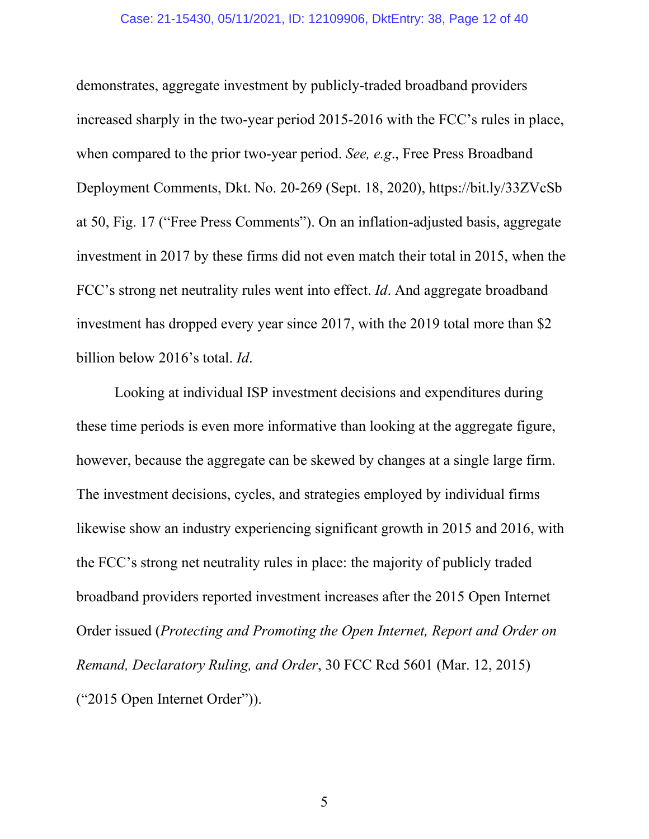#### Case: 21-15430, 05/11/2021, ID: 12109906, DktEntry: 38, Page 12 of 40

demonstrates, aggregate investment by publicly-traded broadband providers increased sharply in the two-year period 2015-2016 with the FCC's rules in place, when compared to the prior two-year period. *See, e.g*., Free Press Broadband Deployment Comments, Dkt. No. 20-269 (Sept. 18, 2020), https://bit.ly/33ZVcSb at 50, Fig. 17 ("Free Press Comments"). On an inflation-adjusted basis, aggregate investment in 2017 by these firms did not even match their total in 2015, when the FCC's strong net neutrality rules went into effect. *Id*. And aggregate broadband investment has dropped every year since 2017, with the 2019 total more than \$2 billion below 2016's total. *Id*.

Looking at individual ISP investment decisions and expenditures during these time periods is even more informative than looking at the aggregate figure, however, because the aggregate can be skewed by changes at a single large firm. The investment decisions, cycles, and strategies employed by individual firms likewise show an industry experiencing significant growth in 2015 and 2016, with the FCC's strong net neutrality rules in place: the majority of publicly traded broadband providers reported investment increases after the 2015 Open Internet Order issued (*Protecting and Promoting the Open Internet, Report and Order on Remand, Declaratory Ruling, and Order*, 30 FCC Rcd 5601 (Mar. 12, 2015) ("2015 Open Internet Order")).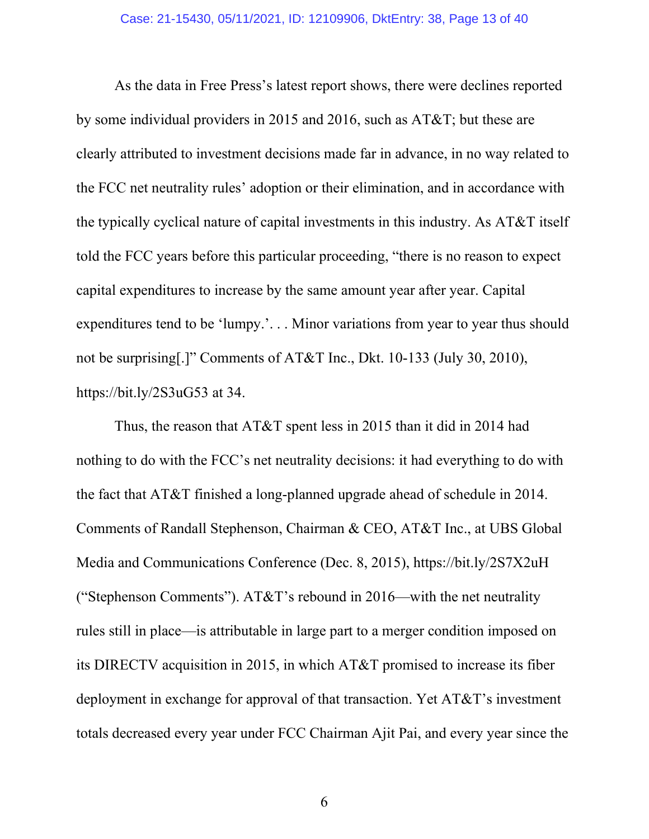As the data in Free Press's latest report shows, there were declines reported by some individual providers in 2015 and 2016, such as AT&T; but these are clearly attributed to investment decisions made far in advance, in no way related to the FCC net neutrality rules' adoption or their elimination, and in accordance with the typically cyclical nature of capital investments in this industry. As AT&T itself told the FCC years before this particular proceeding, "there is no reason to expect capital expenditures to increase by the same amount year after year. Capital expenditures tend to be 'lumpy.'. . . Minor variations from year to year thus should not be surprising[.]" Comments of AT&T Inc., Dkt. 10-133 (July 30, 2010), https://bit.ly/2S3uG53 at 34.

Thus, the reason that AT&T spent less in 2015 than it did in 2014 had nothing to do with the FCC's net neutrality decisions: it had everything to do with the fact that AT&T finished a long-planned upgrade ahead of schedule in 2014. Comments of Randall Stephenson, Chairman & CEO, AT&T Inc., at UBS Global Media and Communications Conference (Dec. 8, 2015), https://bit.ly/2S7X2uH ("Stephenson Comments"). AT&T's rebound in 2016—with the net neutrality rules still in place—is attributable in large part to a merger condition imposed on its DIRECTV acquisition in 2015, in which AT&T promised to increase its fiber deployment in exchange for approval of that transaction. Yet AT&T's investment totals decreased every year under FCC Chairman Ajit Pai, and every year since the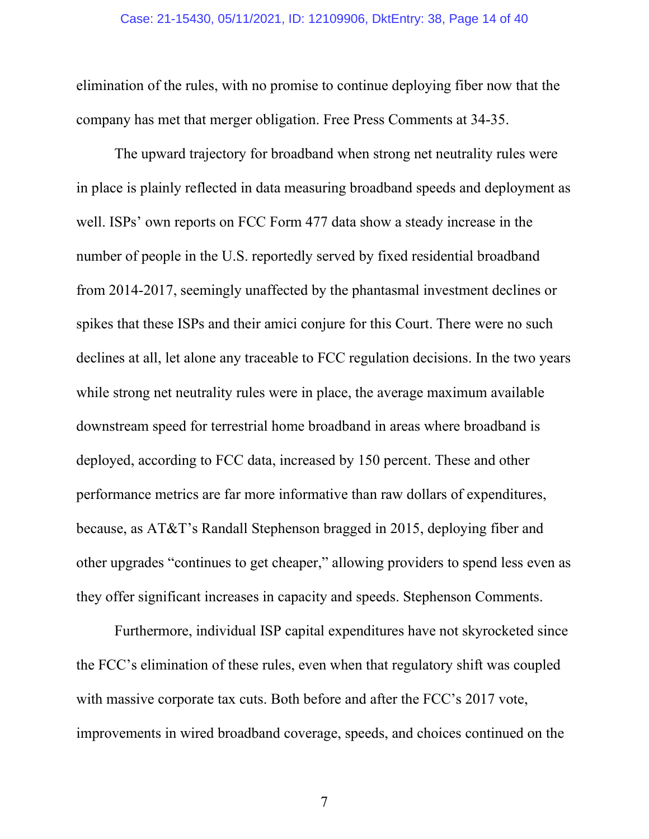#### Case: 21-15430, 05/11/2021, ID: 12109906, DktEntry: 38, Page 14 of 40

elimination of the rules, with no promise to continue deploying fiber now that the company has met that merger obligation. Free Press Comments at 34-35.

The upward trajectory for broadband when strong net neutrality rules were in place is plainly reflected in data measuring broadband speeds and deployment as well. ISPs' own reports on FCC Form 477 data show a steady increase in the number of people in the U.S. reportedly served by fixed residential broadband from 2014-2017, seemingly unaffected by the phantasmal investment declines or spikes that these ISPs and their amici conjure for this Court. There were no such declines at all, let alone any traceable to FCC regulation decisions. In the two years while strong net neutrality rules were in place, the average maximum available downstream speed for terrestrial home broadband in areas where broadband is deployed, according to FCC data, increased by 150 percent. These and other performance metrics are far more informative than raw dollars of expenditures, because, as AT&T's Randall Stephenson bragged in 2015, deploying fiber and other upgrades "continues to get cheaper," allowing providers to spend less even as they offer significant increases in capacity and speeds. Stephenson Comments.

Furthermore, individual ISP capital expenditures have not skyrocketed since the FCC's elimination of these rules, even when that regulatory shift was coupled with massive corporate tax cuts. Both before and after the FCC's 2017 vote, improvements in wired broadband coverage, speeds, and choices continued on the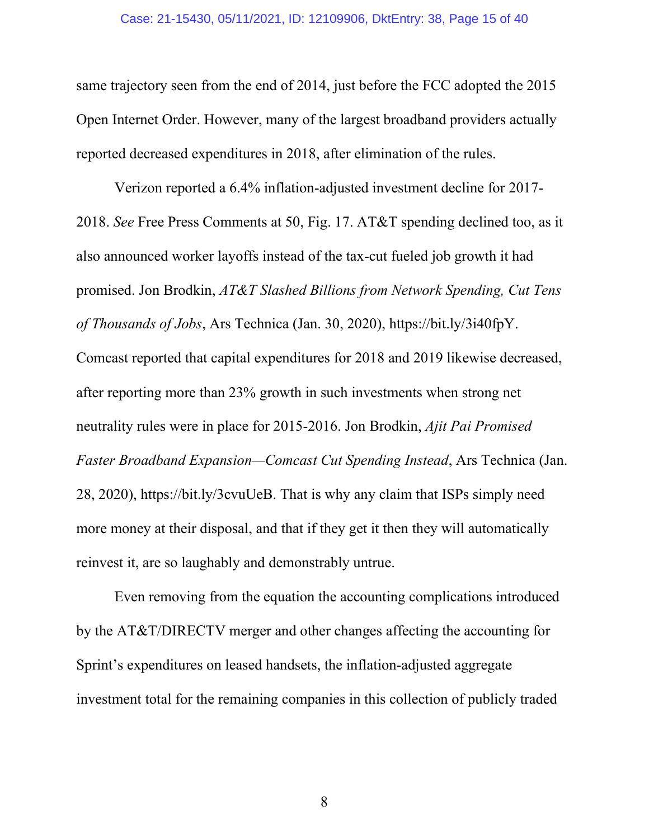#### Case: 21-15430, 05/11/2021, ID: 12109906, DktEntry: 38, Page 15 of 40

same trajectory seen from the end of 2014, just before the FCC adopted the 2015 Open Internet Order. However, many of the largest broadband providers actually reported decreased expenditures in 2018, after elimination of the rules.

Verizon reported a 6.4% inflation-adjusted investment decline for 2017- 2018. *See* Free Press Comments at 50, Fig. 17. AT&T spending declined too, as it also announced worker layoffs instead of the tax-cut fueled job growth it had promised. Jon Brodkin, *AT&T Slashed Billions from Network Spending, Cut Tens of Thousands of Jobs*, Ars Technica (Jan. 30, 2020), https://bit.ly/3i40fpY. Comcast reported that capital expenditures for 2018 and 2019 likewise decreased, after reporting more than 23% growth in such investments when strong net neutrality rules were in place for 2015-2016. Jon Brodkin, *Ajit Pai Promised Faster Broadband Expansion—Comcast Cut Spending Instead*, Ars Technica (Jan. 28, 2020), https://bit.ly/3cvuUeB. That is why any claim that ISPs simply need more money at their disposal, and that if they get it then they will automatically reinvest it, are so laughably and demonstrably untrue.

Even removing from the equation the accounting complications introduced by the AT&T/DIRECTV merger and other changes affecting the accounting for Sprint's expenditures on leased handsets, the inflation-adjusted aggregate investment total for the remaining companies in this collection of publicly traded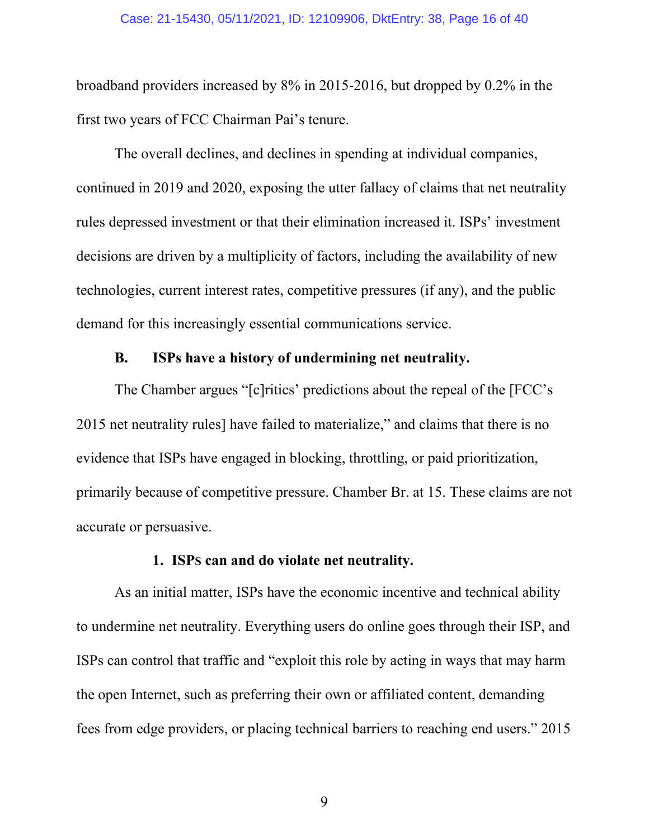#### Case: 21-15430, 05/11/2021, ID: 12109906, DktEntry: 38, Page 16 of 40

broadband providers increased by 8% in 2015-2016, but dropped by 0.2% in the first two years of FCC Chairman Pai's tenure.

The overall declines, and declines in spending at individual companies, continued in 2019 and 2020, exposing the utter fallacy of claims that net neutrality rules depressed investment or that their elimination increased it. ISPs' investment decisions are driven by a multiplicity of factors, including the availability of new technologies, current interest rates, competitive pressures (if any), and the public demand for this increasingly essential communications service.

## **B. ISPs have a history of undermining net neutrality.**

<span id="page-15-0"></span>The Chamber argues "[c]ritics' predictions about the repeal of the [FCC's 2015 net neutrality rules] have failed to materialize," and claims that there is no evidence that ISPs have engaged in blocking, throttling, or paid prioritization, primarily because of competitive pressure. Chamber Br. at 15. These claims are not accurate or persuasive.

#### **1. ISPS can and do violate net neutrality.**

<span id="page-15-1"></span>As an initial matter, ISPs have the economic incentive and technical ability to undermine net neutrality. Everything users do online goes through their ISP, and ISPs can control that traffic and "exploit this role by acting in ways that may harm the open Internet, such as preferring their own or affiliated content, demanding fees from edge providers, or placing technical barriers to reaching end users." 2015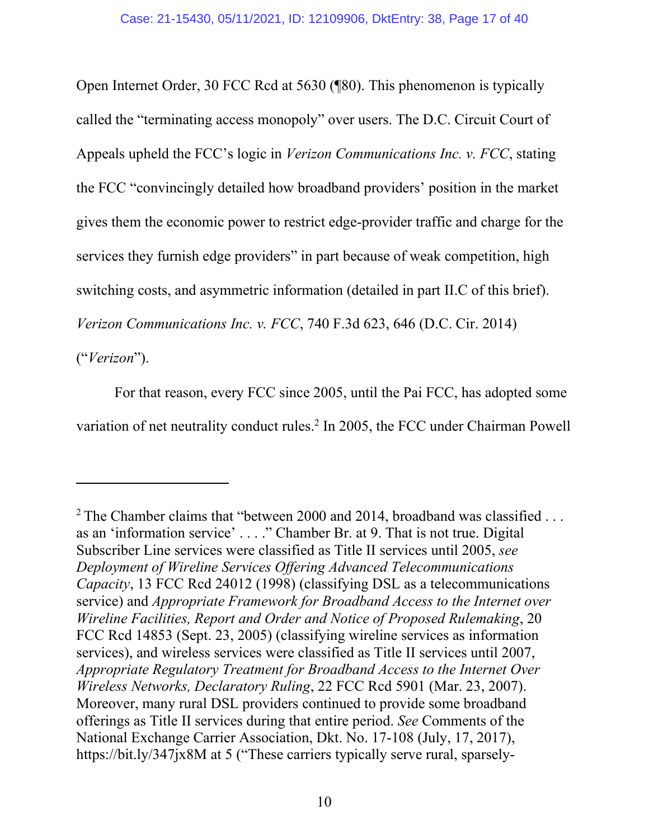Open Internet Order, 30 FCC Rcd at 5630 (¶80). This phenomenon is typically called the "terminating access monopoly" over users. The D.C. Circuit Court of Appeals upheld the FCC's logic in *Verizon Communications Inc. v. FCC*, stating the FCC "convincingly detailed how broadband providers' position in the market gives them the economic power to restrict edge-provider traffic and charge for the services they furnish edge providers" in part because of weak competition, high switching costs, and asymmetric information (detailed in part II.C of this brief). *Verizon Communications Inc. v. FCC*, 740 F.3d 623, 646 (D.C. Cir. 2014)

("*Verizon*").

For that reason, every FCC since 2005, until the Pai FCC, has adopted some variation of net neutrality conduct rules.<sup>2</sup> In 2005, the FCC under Chairman Powell

<sup>&</sup>lt;sup>2</sup> The Chamber claims that "between 2000 and 2014, broadband was classified  $\dots$ as an 'information service' . . . ." Chamber Br. at 9. That is not true. Digital Subscriber Line services were classified as Title II services until 2005, *see Deployment of Wireline Services Offering Advanced Telecommunications Capacity*, 13 FCC Rcd 24012 (1998) (classifying DSL as a telecommunications service) and *Appropriate Framework for Broadband Access to the Internet over Wireline Facilities, Report and Order and Notice of Proposed Rulemaking*, 20 FCC Rcd 14853 (Sept. 23, 2005) (classifying wireline services as information services), and wireless services were classified as Title II services until 2007, *Appropriate Regulatory Treatment for Broadband Access to the Internet Over Wireless Networks, Declaratory Ruling*, 22 FCC Rcd 5901 (Mar. 23, 2007). Moreover, many rural DSL providers continued to provide some broadband offerings as Title II services during that entire period. *See* Comments of the National Exchange Carrier Association, Dkt. No. 17-108 (July, 17, 2017), https://bit.ly/347jx8M at 5 ("These carriers typically serve rural, sparsely-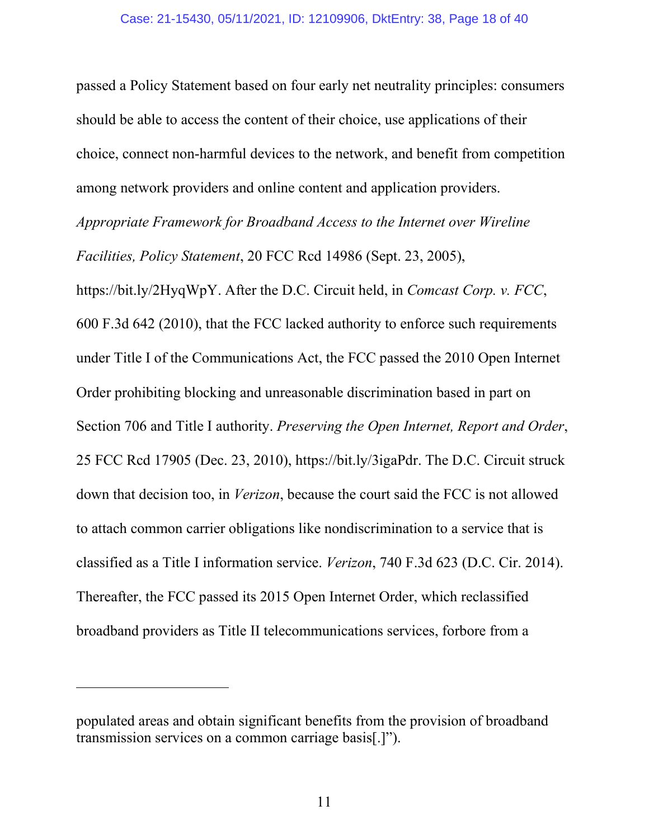passed a Policy Statement based on four early net neutrality principles: consumers should be able to access the content of their choice, use applications of their choice, connect non-harmful devices to the network, and benefit from competition among network providers and online content and application providers. *Appropriate Framework for Broadband Access to the Internet over Wireline Facilities, Policy Statement*, 20 FCC Rcd 14986 (Sept. 23, 2005), https://bit.ly/2HyqWpY. After the D.C. Circuit held, in *Comcast Corp. v. FCC*, 600 F.3d 642 (2010), that the FCC lacked authority to enforce such requirements under Title I of the Communications Act, the FCC passed the 2010 Open Internet Order prohibiting blocking and unreasonable discrimination based in part on Section 706 and Title I authority. *Preserving the Open Internet, Report and Order*, 25 FCC Rcd 17905 (Dec. 23, 2010), https://bit.ly/3igaPdr. The D.C. Circuit struck down that decision too, in *Verizon*, because the court said the FCC is not allowed to attach common carrier obligations like nondiscrimination to a service that is classified as a Title I information service. *Verizon*, 740 F.3d 623 (D.C. Cir. 2014). Thereafter, the FCC passed its 2015 Open Internet Order, which reclassified broadband providers as Title II telecommunications services, forbore from a

populated areas and obtain significant benefits from the provision of broadband transmission services on a common carriage basis[.]").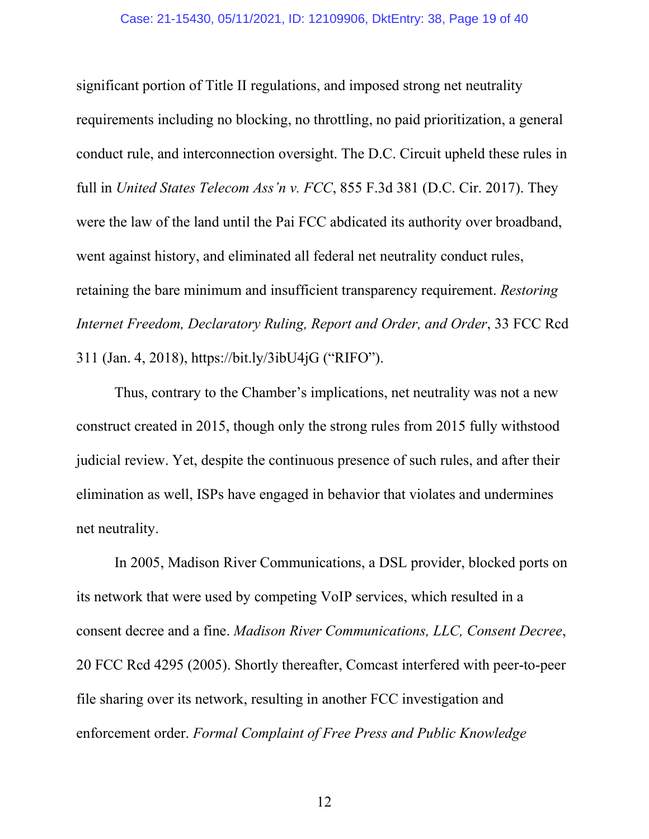#### Case: 21-15430, 05/11/2021, ID: 12109906, DktEntry: 38, Page 19 of 40

significant portion of Title II regulations, and imposed strong net neutrality requirements including no blocking, no throttling, no paid prioritization, a general conduct rule, and interconnection oversight. The D.C. Circuit upheld these rules in full in *United States Telecom Ass'n v. FCC*, 855 F.3d 381 (D.C. Cir. 2017). They were the law of the land until the Pai FCC abdicated its authority over broadband, went against history, and eliminated all federal net neutrality conduct rules, retaining the bare minimum and insufficient transparency requirement. *Restoring Internet Freedom, Declaratory Ruling, Report and Order, and Order*, 33 FCC Rcd 311 (Jan. 4, 2018), https://bit.ly/3ibU4jG ("RIFO").

Thus, contrary to the Chamber's implications, net neutrality was not a new construct created in 2015, though only the strong rules from 2015 fully withstood judicial review. Yet, despite the continuous presence of such rules, and after their elimination as well, ISPs have engaged in behavior that violates and undermines net neutrality.

In 2005, Madison River Communications, a DSL provider, blocked ports on its network that were used by competing VoIP services, which resulted in a consent decree and a fine. *Madison River Communications, LLC, Consent Decree*, 20 FCC Rcd 4295 (2005). Shortly thereafter, Comcast interfered with peer-to-peer file sharing over its network, resulting in another FCC investigation and enforcement order. *Formal Complaint of Free Press and Public Knowledge*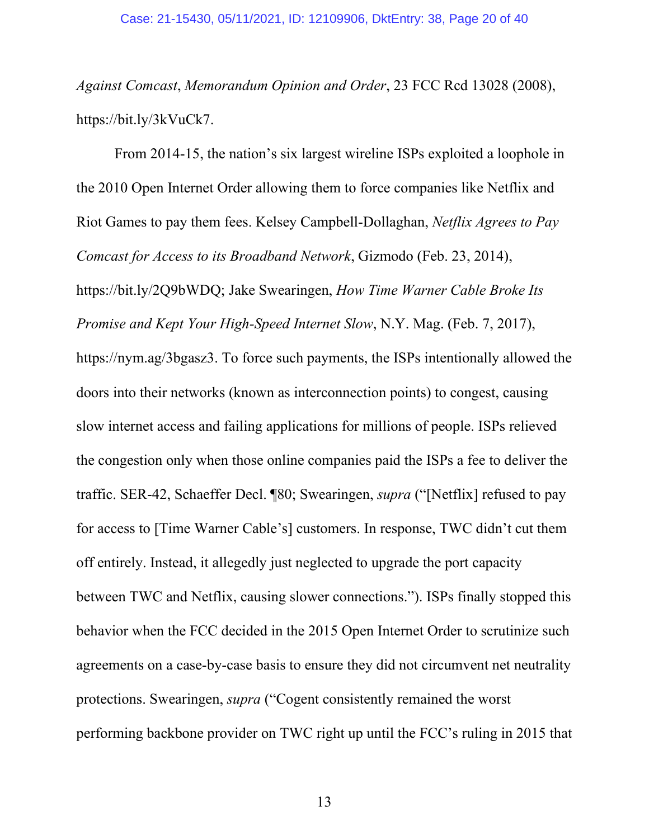*Against Comcast*, *Memorandum Opinion and Order*, 23 FCC Rcd 13028 (2008), https://bit.ly/3kVuCk7.

From 2014-15, the nation's six largest wireline ISPs exploited a loophole in the 2010 Open Internet Order allowing them to force companies like Netflix and Riot Games to pay them fees. Kelsey Campbell-Dollaghan, *Netflix Agrees to Pay Comcast for Access to its Broadband Network*, Gizmodo (Feb. 23, 2014), https://bit.ly/2Q9bWDQ; Jake Swearingen, *How Time Warner Cable Broke Its Promise and Kept Your High-Speed Internet Slow*, N.Y. Mag. (Feb. 7, 2017), https://nym.ag/3bgasz3. To force such payments, the ISPs intentionally allowed the doors into their networks (known as interconnection points) to congest, causing slow internet access and failing applications for millions of people. ISPs relieved the congestion only when those online companies paid the ISPs a fee to deliver the traffic. SER-42, Schaeffer Decl. ¶80; Swearingen, *supra* ("[Netflix] refused to pay for access to [Time Warner Cable's] customers. In response, TWC didn't cut them off entirely. Instead, it allegedly just neglected to upgrade the port capacity between TWC and Netflix, causing slower connections."). ISPs finally stopped this behavior when the FCC decided in the 2015 Open Internet Order to scrutinize such agreements on a case-by-case basis to ensure they did not circumvent net neutrality protections. Swearingen, *supra* ("Cogent consistently remained the worst performing backbone provider on TWC right up until the FCC's ruling in 2015 that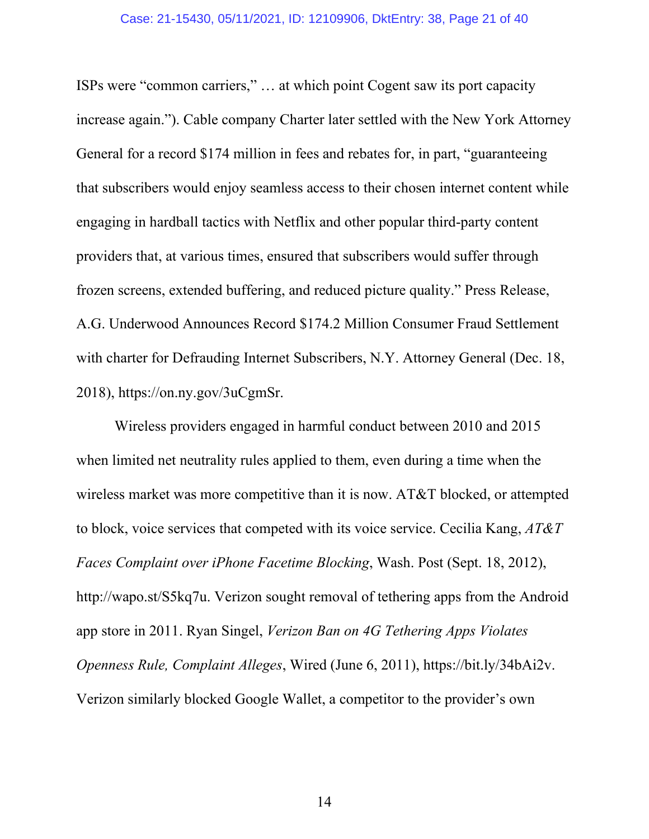#### Case: 21-15430, 05/11/2021, ID: 12109906, DktEntry: 38, Page 21 of 40

ISPs were "common carriers," … at which point Cogent saw its port capacity increase again."). Cable company Charter later settled with the New York Attorney General for a record \$174 million in fees and rebates for, in part, "guaranteeing that subscribers would enjoy seamless access to their chosen internet content while engaging in hardball tactics with Netflix and other popular third-party content providers that, at various times, ensured that subscribers would suffer through frozen screens, extended buffering, and reduced picture quality." Press Release, A.G. Underwood Announces Record \$174.2 Million Consumer Fraud Settlement with charter for Defrauding Internet Subscribers, N.Y. Attorney General (Dec. 18, 2018), https://on.ny.gov/3uCgmSr.

Wireless providers engaged in harmful conduct between 2010 and 2015 when limited net neutrality rules applied to them, even during a time when the wireless market was more competitive than it is now. AT&T blocked, or attempted to block, voice services that competed with its voice service. Cecilia Kang, *AT&T Faces Complaint over iPhone Facetime Blocking*, Wash. Post (Sept. 18, 2012), http://wapo.st/S5kq7u. Verizon sought removal of tethering apps from the Android app store in 2011. Ryan Singel, *Verizon Ban on 4G Tethering Apps Violates Openness Rule, Complaint Alleges*, Wired (June 6, 2011), https://bit.ly/34bAi2v. Verizon similarly blocked Google Wallet, a competitor to the provider's own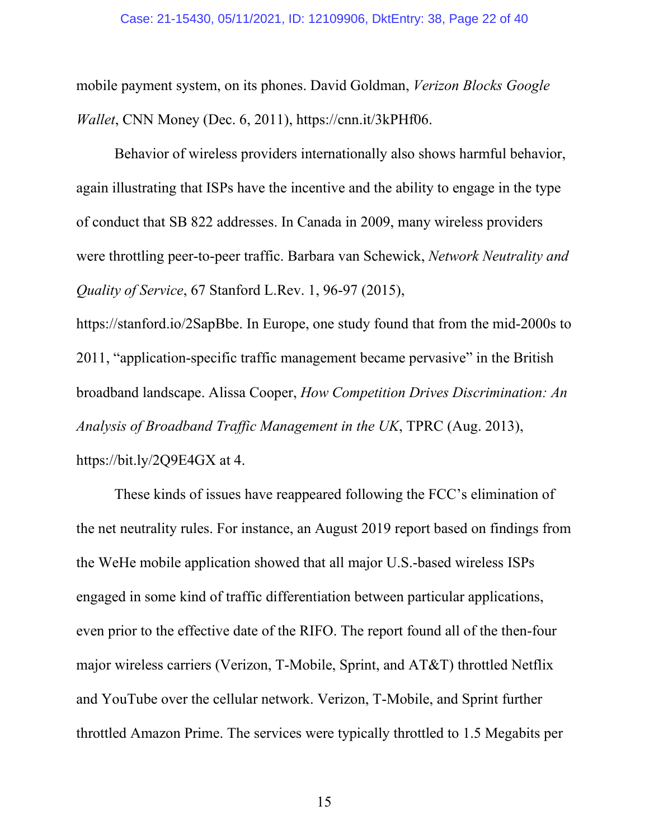mobile payment system, on its phones. David Goldman, *Verizon Blocks Google Wallet*, CNN Money (Dec. 6, 2011), https://cnn.it/3kPHf06.

Behavior of wireless providers internationally also shows harmful behavior, again illustrating that ISPs have the incentive and the ability to engage in the type of conduct that SB 822 addresses. In Canada in 2009, many wireless providers were throttling peer-to-peer traffic. Barbara van Schewick, *Network Neutrality and Quality of Service*, 67 Stanford L.Rev. 1, 96-97 (2015),

https://stanford.io/2SapBbe. In Europe, one study found that from the mid-2000s to 2011, "application-specific traffic management became pervasive" in the British broadband landscape. Alissa Cooper, *How Competition Drives Discrimination: An Analysis of Broadband Traffic Management in the UK*, TPRC (Aug. 2013), https://bit.ly/2Q9E4GX at 4.

These kinds of issues have reappeared following the FCC's elimination of the net neutrality rules. For instance, an August 2019 report based on findings from the WeHe mobile application showed that all major U.S.-based wireless ISPs engaged in some kind of traffic differentiation between particular applications, even prior to the effective date of the RIFO. The report found all of the then-four major wireless carriers (Verizon, T-Mobile, Sprint, and AT&T) throttled Netflix and YouTube over the cellular network. Verizon, T-Mobile, and Sprint further throttled Amazon Prime. The services were typically throttled to 1.5 Megabits per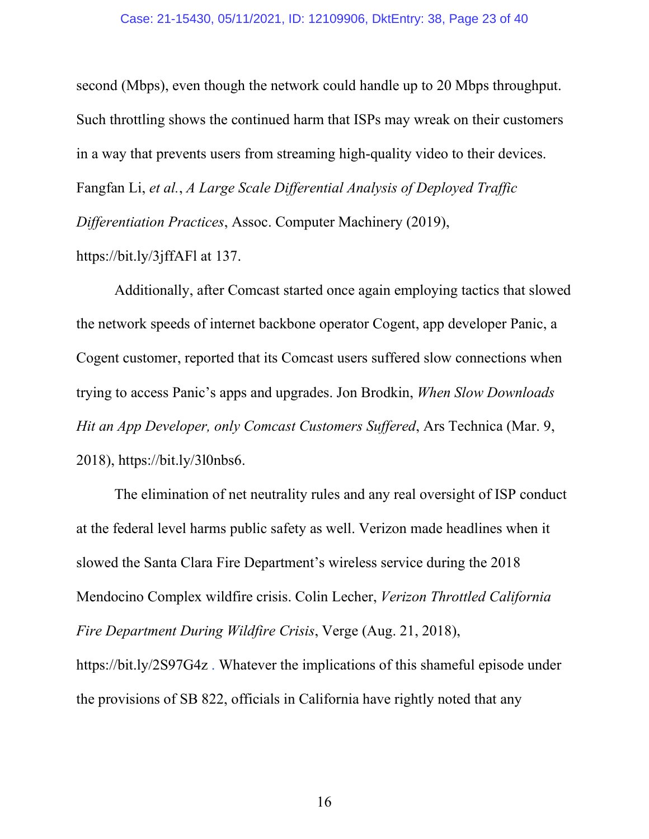#### Case: 21-15430, 05/11/2021, ID: 12109906, DktEntry: 38, Page 23 of 40

second (Mbps), even though the network could handle up to 20 Mbps throughput. Such throttling shows the continued harm that ISPs may wreak on their customers in a way that prevents users from streaming high-quality video to their devices. Fangfan Li, *et al.*, *A Large Scale Differential Analysis of Deployed Traffic Differentiation Practices*, Assoc. Computer Machinery (2019),

https://bit.ly/3jffAFl at 137.

Additionally, after Comcast started once again employing tactics that slowed the network speeds of internet backbone operator Cogent, app developer Panic, a Cogent customer, reported that its Comcast users suffered slow connections when trying to access Panic's apps and upgrades. Jon Brodkin, *When Slow Downloads Hit an App Developer, only Comcast Customers Suffered*, Ars Technica (Mar. 9, 2018), https://bit.ly/3l0nbs6.

The elimination of net neutrality rules and any real oversight of ISP conduct at the federal level harms public safety as well. Verizon made headlines when it slowed the Santa Clara Fire Department's wireless service during the 2018 Mendocino Complex wildfire crisis. Colin Lecher, *Verizon Throttled California Fire Department During Wildfire Crisis*, Verge (Aug. 21, 2018), https://bit.ly/2S97G4z . Whatever the implications of this shameful episode under the provisions of SB 822, officials in California have rightly noted that any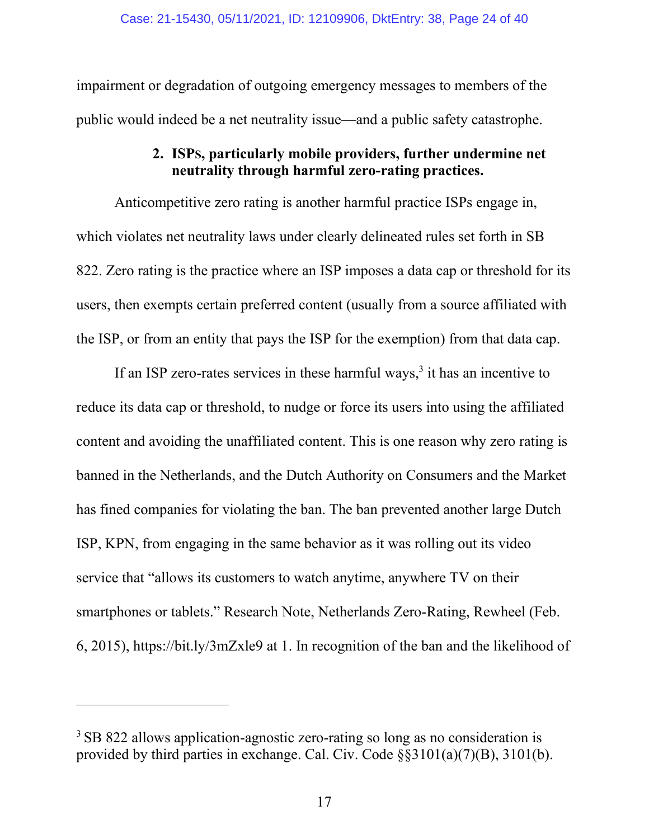impairment or degradation of outgoing emergency messages to members of the public would indeed be a net neutrality issue—and a public safety catastrophe.

### **2. ISPS, particularly mobile providers, further undermine net neutrality through harmful zero-rating practices.**

<span id="page-23-0"></span>Anticompetitive zero rating is another harmful practice ISPs engage in, which violates net neutrality laws under clearly delineated rules set forth in SB 822. Zero rating is the practice where an ISP imposes a data cap or threshold for its users, then exempts certain preferred content (usually from a source affiliated with the ISP, or from an entity that pays the ISP for the exemption) from that data cap.

If an ISP zero-rates services in these harmful ways, $3$  it has an incentive to reduce its data cap or threshold, to nudge or force its users into using the affiliated content and avoiding the unaffiliated content. This is one reason why zero rating is banned in the Netherlands, and the Dutch Authority on Consumers and the Market has fined companies for violating the ban. The ban prevented another large Dutch ISP, KPN, from engaging in the same behavior as it was rolling out its video service that "allows its customers to watch anytime, anywhere TV on their smartphones or tablets." Research Note, Netherlands Zero-Rating, Rewheel (Feb. 6, 2015), https://bit.ly/3mZxle9 at 1. In recognition of the ban and the likelihood of

<sup>&</sup>lt;sup>3</sup> SB 822 allows application-agnostic zero-rating so long as no consideration is provided by third parties in exchange. Cal. Civ. Code §§3101(a)(7)(B), 3101(b).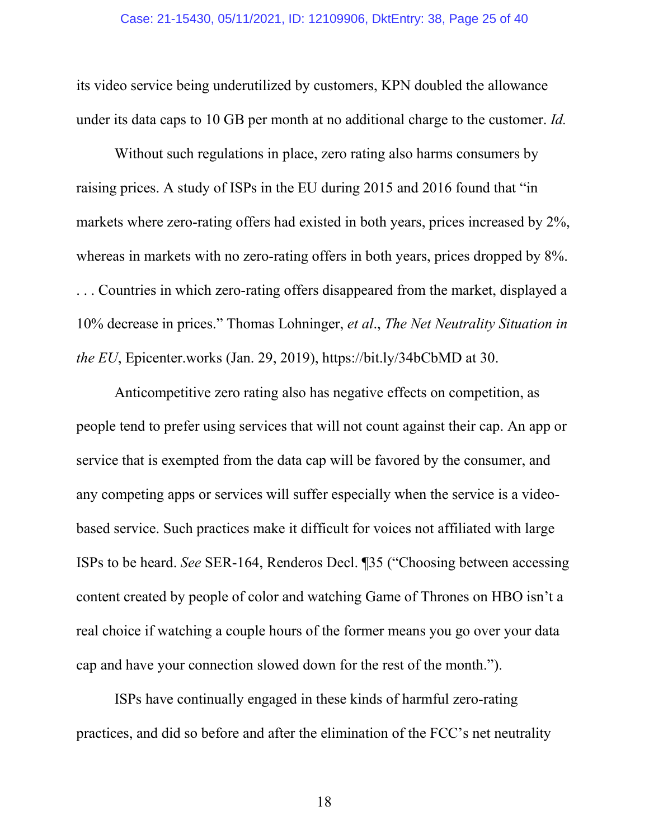#### Case: 21-15430, 05/11/2021, ID: 12109906, DktEntry: 38, Page 25 of 40

its video service being underutilized by customers, KPN doubled the allowance under its data caps to 10 GB per month at no additional charge to the customer. *Id.* 

Without such regulations in place, zero rating also harms consumers by raising prices. A study of ISPs in the EU during 2015 and 2016 found that "in markets where zero-rating offers had existed in both years, prices increased by 2%, whereas in markets with no zero-rating offers in both years, prices dropped by 8%. . . . Countries in which zero-rating offers disappeared from the market, displayed a 10% decrease in prices." Thomas Lohninger, *et al*., *The Net Neutrality Situation in the EU*, Epicenter.works (Jan. 29, 2019), https://bit.ly/34bCbMD at 30.

Anticompetitive zero rating also has negative effects on competition, as people tend to prefer using services that will not count against their cap. An app or service that is exempted from the data cap will be favored by the consumer, and any competing apps or services will suffer especially when the service is a videobased service. Such practices make it difficult for voices not affiliated with large ISPs to be heard. *See* SER-164, Renderos Decl. ¶35 ("Choosing between accessing content created by people of color and watching Game of Thrones on HBO isn't a real choice if watching a couple hours of the former means you go over your data cap and have your connection slowed down for the rest of the month.").

ISPs have continually engaged in these kinds of harmful zero-rating practices, and did so before and after the elimination of the FCC's net neutrality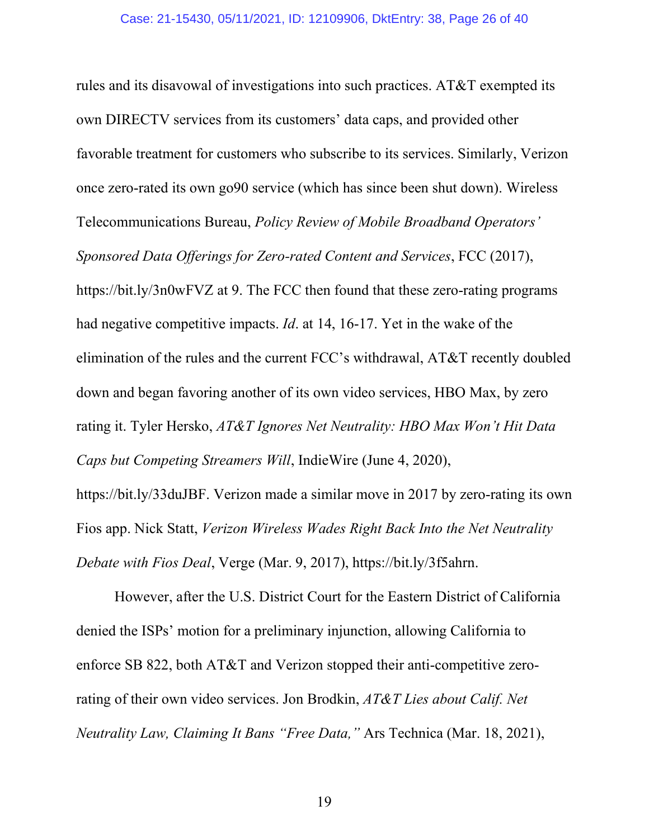rules and its disavowal of investigations into such practices. AT&T exempted its own DIRECTV services from its customers' data caps, and provided other favorable treatment for customers who subscribe to its services. Similarly, Verizon once zero-rated its own go90 service (which has since been shut down). Wireless Telecommunications Bureau, *Policy Review of Mobile Broadband Operators' Sponsored Data Offerings for Zero-rated Content and Services*, FCC (2017), https://bit.ly/3n0wFVZ at 9. The FCC then found that these zero-rating programs had negative competitive impacts. *Id*. at 14, 16-17. Yet in the wake of the elimination of the rules and the current FCC's withdrawal, AT&T recently doubled down and began favoring another of its own video services, HBO Max, by zero rating it. Tyler Hersko, *AT&T Ignores Net Neutrality: HBO Max Won't Hit Data Caps but Competing Streamers Will*, IndieWire (June 4, 2020),

https://bit.ly/33duJBF. Verizon made a similar move in 2017 by zero-rating its own Fios app. Nick Statt, *Verizon Wireless Wades Right Back Into the Net Neutrality Debate with Fios Deal*, Verge (Mar. 9, 2017), https://bit.ly/3f5ahrn.

However, after the U.S. District Court for the Eastern District of California denied the ISPs' motion for a preliminary injunction, allowing California to enforce SB 822, both AT&T and Verizon stopped their anti-competitive zerorating of their own video services. Jon Brodkin, *AT&T Lies about Calif. Net Neutrality Law, Claiming It Bans "Free Data,"* Ars Technica (Mar. 18, 2021),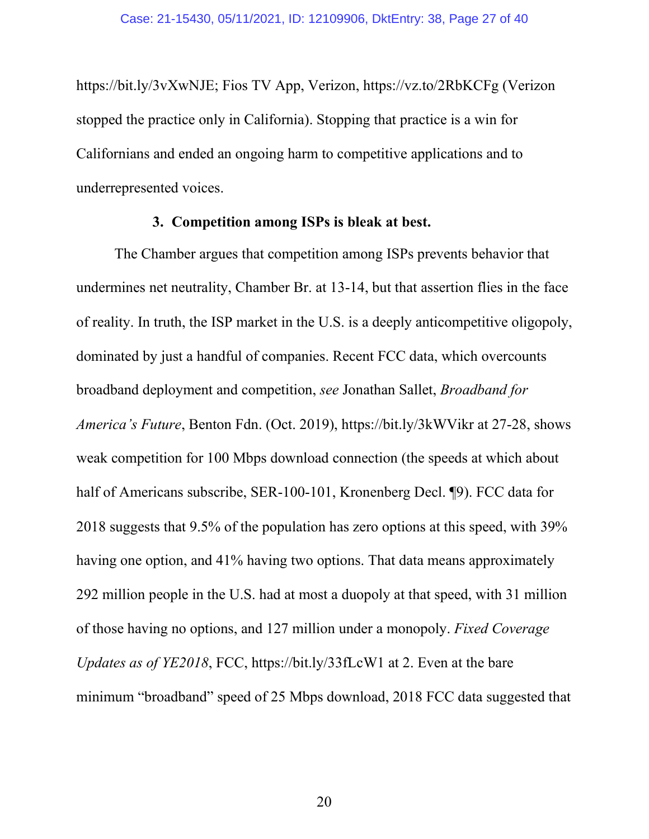https://bit.ly/3vXwNJE; Fios TV App, Verizon, https://vz.to/2RbKCFg (Verizon stopped the practice only in California). Stopping that practice is a win for Californians and ended an ongoing harm to competitive applications and to underrepresented voices.

#### **3. Competition among ISPs is bleak at best.**

<span id="page-26-0"></span>The Chamber argues that competition among ISPs prevents behavior that undermines net neutrality, Chamber Br. at 13-14, but that assertion flies in the face of reality. In truth, the ISP market in the U.S. is a deeply anticompetitive oligopoly, dominated by just a handful of companies. Recent FCC data, which overcounts broadband deployment and competition, *see* Jonathan Sallet, *Broadband for America's Future*, Benton Fdn. (Oct. 2019), https://bit.ly/3kWVikr at 27-28, shows weak competition for 100 Mbps download connection (the speeds at which about half of Americans subscribe, SER-100-101, Kronenberg Decl. [9]. FCC data for 2018 suggests that 9.5% of the population has zero options at this speed, with 39% having one option, and 41% having two options. That data means approximately 292 million people in the U.S. had at most a duopoly at that speed, with 31 million of those having no options, and 127 million under a monopoly. *Fixed Coverage Updates as of YE2018*, FCC, https://bit.ly/33fLcW1 at 2. Even at the bare minimum "broadband" speed of 25 Mbps download, 2018 FCC data suggested that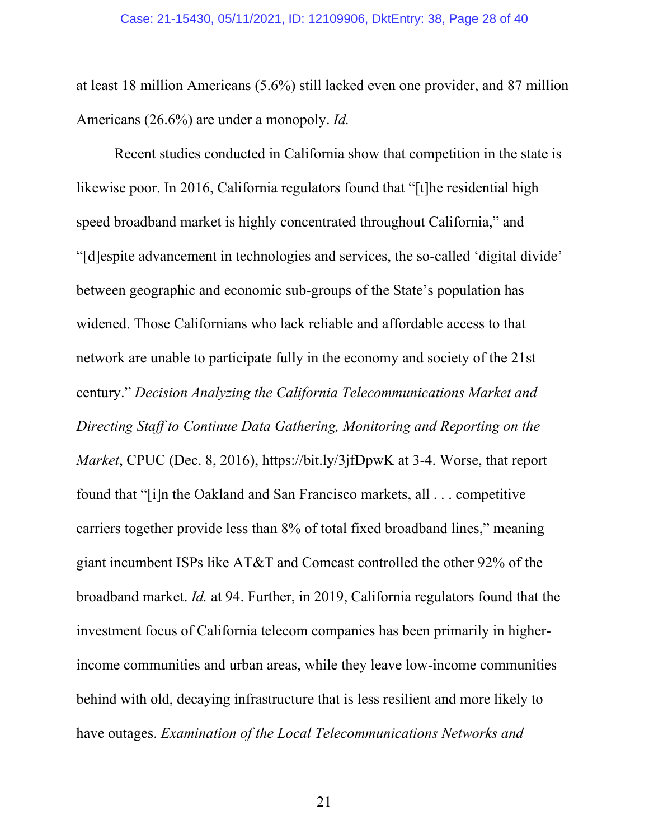at least 18 million Americans (5.6%) still lacked even one provider, and 87 million Americans (26.6%) are under a monopoly. *Id.* 

Recent studies conducted in California show that competition in the state is likewise poor. In 2016, California regulators found that "[t]he residential high speed broadband market is highly concentrated throughout California," and "[d]espite advancement in technologies and services, the so-called 'digital divide' between geographic and economic sub-groups of the State's population has widened. Those Californians who lack reliable and affordable access to that network are unable to participate fully in the economy and society of the 21st century." *Decision Analyzing the California Telecommunications Market and Directing Staff to Continue Data Gathering, Monitoring and Reporting on the Market*, CPUC (Dec. 8, 2016), https://bit.ly/3jfDpwK at 3-4. Worse, that report found that "[i]n the Oakland and San Francisco markets, all . . . competitive carriers together provide less than 8% of total fixed broadband lines," meaning giant incumbent ISPs like AT&T and Comcast controlled the other 92% of the broadband market. *Id.* at 94. Further, in 2019, California regulators found that the investment focus of California telecom companies has been primarily in higherincome communities and urban areas, while they leave low-income communities behind with old, decaying infrastructure that is less resilient and more likely to have outages. *Examination of the Local Telecommunications Networks and*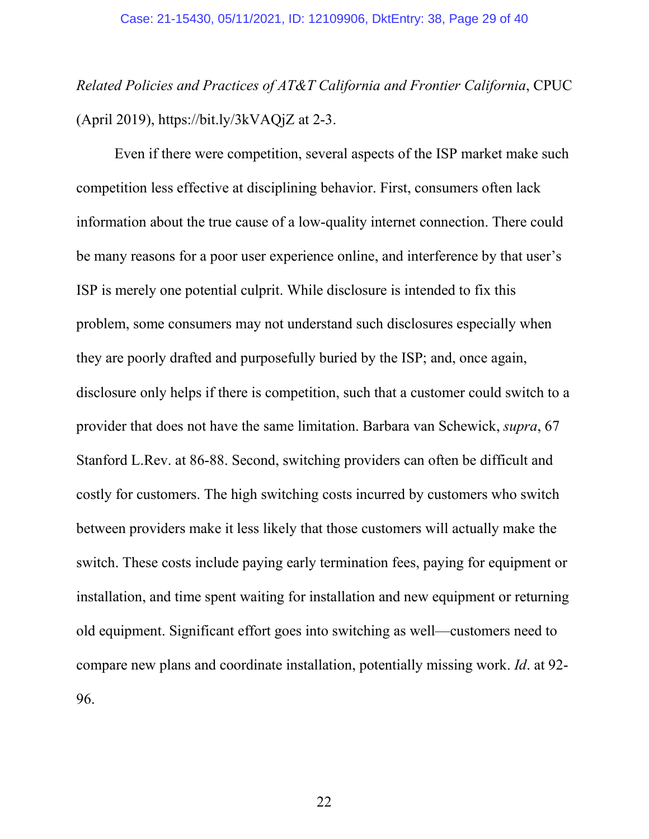*Related Policies and Practices of AT&T California and Frontier California*, CPUC (April 2019), https://bit.ly/3kVAQjZ at 2-3.

Even if there were competition, several aspects of the ISP market make such competition less effective at disciplining behavior. First, consumers often lack information about the true cause of a low-quality internet connection. There could be many reasons for a poor user experience online, and interference by that user's ISP is merely one potential culprit. While disclosure is intended to fix this problem, some consumers may not understand such disclosures especially when they are poorly drafted and purposefully buried by the ISP; and, once again, disclosure only helps if there is competition, such that a customer could switch to a provider that does not have the same limitation. Barbara van Schewick, *supra*, 67 Stanford L.Rev. at 86-88. Second, switching providers can often be difficult and costly for customers. The high switching costs incurred by customers who switch between providers make it less likely that those customers will actually make the switch. These costs include paying early termination fees, paying for equipment or installation, and time spent waiting for installation and new equipment or returning old equipment. Significant effort goes into switching as well—customers need to compare new plans and coordinate installation, potentially missing work. *Id*. at 92- 96.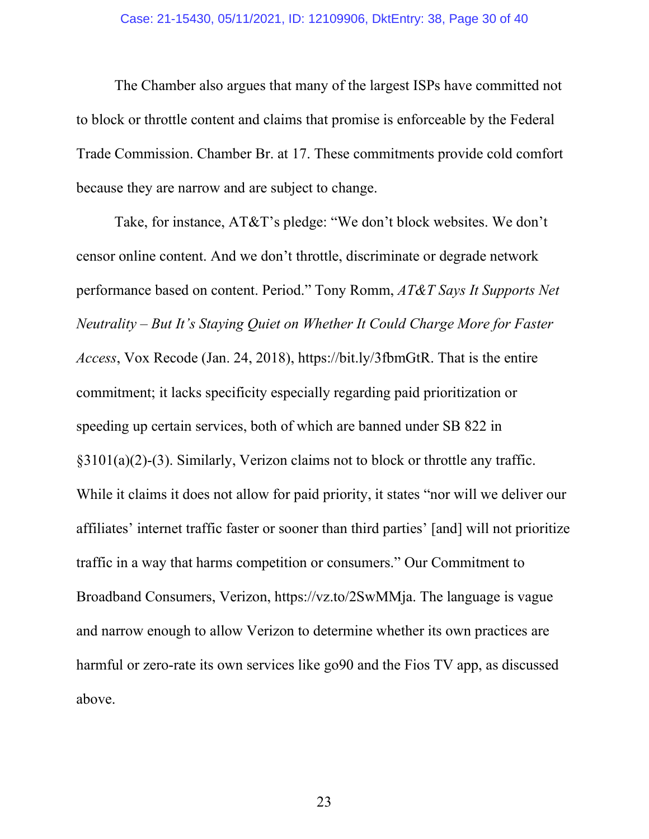#### Case: 21-15430, 05/11/2021, ID: 12109906, DktEntry: 38, Page 30 of 40

The Chamber also argues that many of the largest ISPs have committed not to block or throttle content and claims that promise is enforceable by the Federal Trade Commission. Chamber Br. at 17. These commitments provide cold comfort because they are narrow and are subject to change.

Take, for instance, AT&T's pledge: "We don't block websites. We don't censor online content. And we don't throttle, discriminate or degrade network performance based on content. Period." Tony Romm, *AT&T Says It Supports Net Neutrality – But It's Staying Quiet on Whether It Could Charge More for Faster Access*, Vox Recode (Jan. 24, 2018), https://bit.ly/3fbmGtR. That is the entire commitment; it lacks specificity especially regarding paid prioritization or speeding up certain services, both of which are banned under SB 822 in §3101(a)(2)-(3). Similarly, Verizon claims not to block or throttle any traffic. While it claims it does not allow for paid priority, it states "nor will we deliver our affiliates' internet traffic faster or sooner than third parties' [and] will not prioritize traffic in a way that harms competition or consumers." Our Commitment to Broadband Consumers, Verizon, https://vz.to/2SwMMja. The language is vague and narrow enough to allow Verizon to determine whether its own practices are harmful or zero-rate its own services like go<sup>90</sup> and the Fios TV app, as discussed above.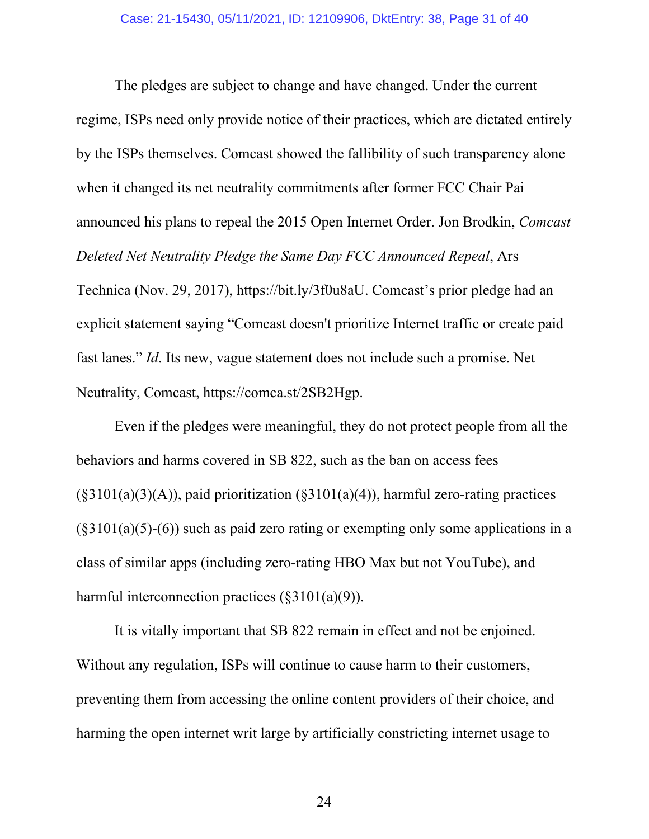The pledges are subject to change and have changed. Under the current regime, ISPs need only provide notice of their practices, which are dictated entirely by the ISPs themselves. Comcast showed the fallibility of such transparency alone when it changed its net neutrality commitments after former FCC Chair Pai announced his plans to repeal the 2015 Open Internet Order. Jon Brodkin, *Comcast Deleted Net Neutrality Pledge the Same Day FCC Announced Repeal*, Ars Technica (Nov. 29, 2017), https://bit.ly/3f0u8aU. Comcast's prior pledge had an explicit statement saying "Comcast doesn't prioritize Internet traffic or create paid fast lanes." *Id*. Its new, vague statement does not include such a promise. Net Neutrality, Comcast, https://comca.st/2SB2Hgp.

Even if the pledges were meaningful, they do not protect people from all the behaviors and harms covered in SB 822, such as the ban on access fees  $(\S 3101(a)(3)(A))$ , paid prioritization  $(\S 3101(a)(4))$ , harmful zero-rating practices  $(\S 3101(a)(5)-(6))$  such as paid zero rating or exempting only some applications in a class of similar apps (including zero-rating HBO Max but not YouTube), and harmful interconnection practices  $(\S 3101(a)(9))$ .

It is vitally important that SB 822 remain in effect and not be enjoined. Without any regulation, ISPs will continue to cause harm to their customers, preventing them from accessing the online content providers of their choice, and harming the open internet writ large by artificially constricting internet usage to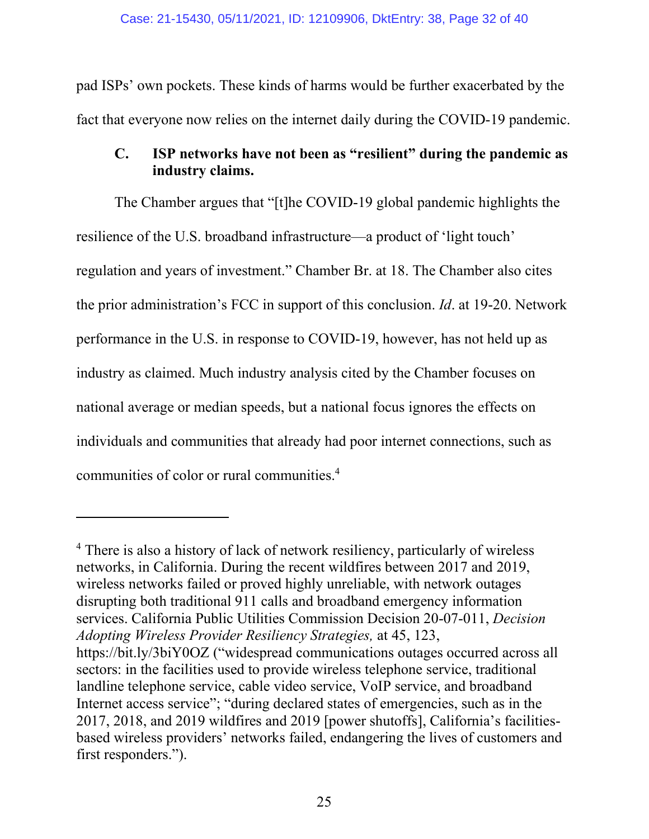pad ISPs' own pockets. These kinds of harms would be further exacerbated by the fact that everyone now relies on the internet daily during the COVID-19 pandemic.

## <span id="page-31-0"></span>**C. ISP networks have not been as "resilient" during the pandemic as industry claims.**

The Chamber argues that "[t]he COVID-19 global pandemic highlights the resilience of the U.S. broadband infrastructure—a product of 'light touch' regulation and years of investment." Chamber Br. at 18. The Chamber also cites the prior administration's FCC in support of this conclusion. *Id*. at 19-20. Network performance in the U.S. in response to COVID-19, however, has not held up as industry as claimed. Much industry analysis cited by the Chamber focuses on national average or median speeds, but a national focus ignores the effects on individuals and communities that already had poor internet connections, such as communities of color or rural communities.<sup>4</sup>

<sup>&</sup>lt;sup>4</sup> There is also a history of lack of network resiliency, particularly of wireless networks, in California. During the recent wildfires between 2017 and 2019, wireless networks failed or proved highly unreliable, with network outages disrupting both traditional 911 calls and broadband emergency information services. California Public Utilities Commission Decision 20-07-011, *Decision Adopting Wireless Provider Resiliency Strategies,* at 45, 123,

https://bit.ly/3biY0OZ ("widespread communications outages occurred across all sectors: in the facilities used to provide wireless telephone service, traditional landline telephone service, cable video service, VoIP service, and broadband Internet access service"; "during declared states of emergencies, such as in the 2017, 2018, and 2019 wildfires and 2019 [power shutoffs], California's facilitiesbased wireless providers' networks failed, endangering the lives of customers and first responders.").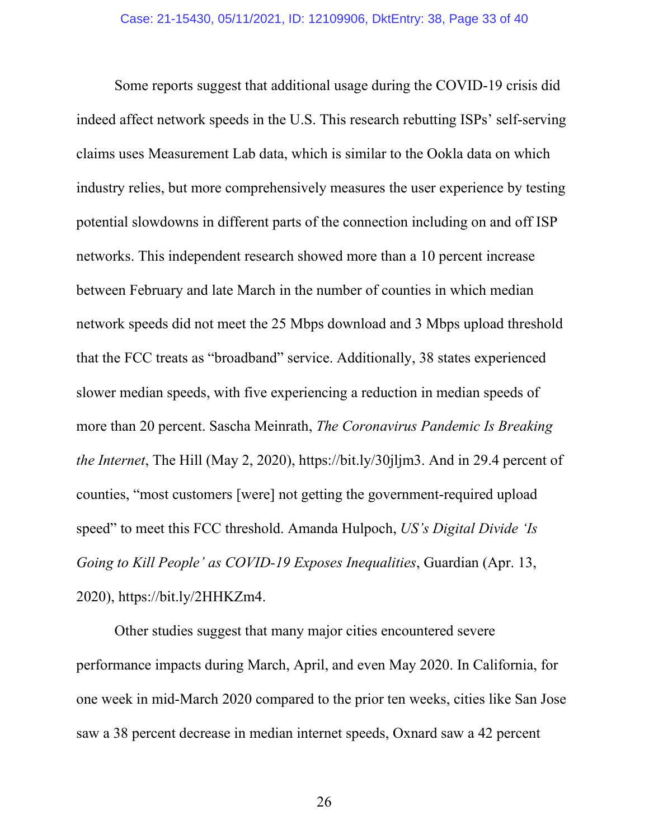Some reports suggest that additional usage during the COVID-19 crisis did indeed affect network speeds in the U.S. This research rebutting ISPs' self-serving claims uses Measurement Lab data, which is similar to the Ookla data on which industry relies, but more comprehensively measures the user experience by testing potential slowdowns in different parts of the connection including on and off ISP networks. This independent research showed more than a 10 percent increase between February and late March in the number of counties in which median network speeds did not meet the 25 Mbps download and 3 Mbps upload threshold that the FCC treats as "broadband" service. Additionally, 38 states experienced slower median speeds, with five experiencing a reduction in median speeds of more than 20 percent. Sascha Meinrath, *The Coronavirus Pandemic Is Breaking the Internet*, The Hill (May 2, 2020), https://bit.ly/30jljm3. And in 29.4 percent of counties, "most customers [were] not getting the government-required upload speed" to meet this FCC threshold. Amanda Hulpoch, *US's Digital Divide 'Is Going to Kill People' as COVID-19 Exposes Inequalities*, Guardian (Apr. 13, 2020), https://bit.ly/2HHKZm4.

Other studies suggest that many major cities encountered severe performance impacts during March, April, and even May 2020. In California, for one week in mid-March 2020 compared to the prior ten weeks, cities like San Jose saw a 38 percent decrease in median internet speeds, Oxnard saw a 42 percent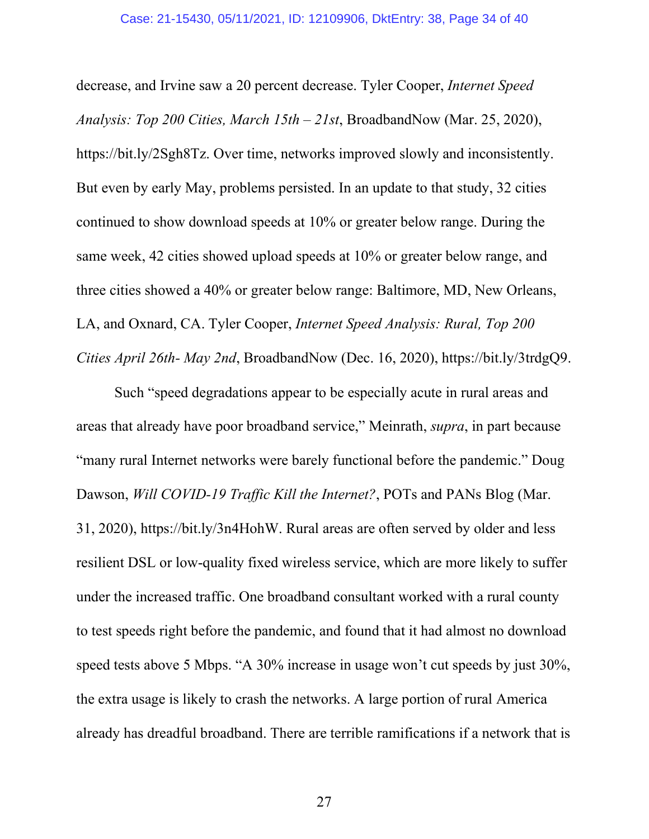decrease, and Irvine saw a 20 percent decrease. Tyler Cooper, *Internet Speed Analysis: Top 200 Cities, March 15th – 21st*, BroadbandNow (Mar. 25, 2020), https://bit.ly/2Sgh8Tz. Over time, networks improved slowly and inconsistently. But even by early May, problems persisted. In an update to that study, 32 cities continued to show download speeds at 10% or greater below range. During the same week, 42 cities showed upload speeds at 10% or greater below range, and three cities showed a 40% or greater below range: Baltimore, MD, New Orleans, LA, and Oxnard, CA. Tyler Cooper, *Internet Speed Analysis: Rural, Top 200 Cities April 26th- May 2nd*, BroadbandNow (Dec. 16, 2020), https://bit.ly/3trdgQ9.

Such "speed degradations appear to be especially acute in rural areas and areas that already have poor broadband service," Meinrath, *supra*, in part because "many rural Internet networks were barely functional before the pandemic." Doug Dawson, *Will COVID-19 Traffic Kill the Internet?*, POTs and PANs Blog (Mar. 31, 2020), https://bit.ly/3n4HohW. Rural areas are often served by older and less resilient DSL or low-quality fixed wireless service, which are more likely to suffer under the increased traffic. One broadband consultant worked with a rural county to test speeds right before the pandemic, and found that it had almost no download speed tests above 5 Mbps. "A 30% increase in usage won't cut speeds by just 30%, the extra usage is likely to crash the networks. A large portion of rural America already has dreadful broadband. There are terrible ramifications if a network that is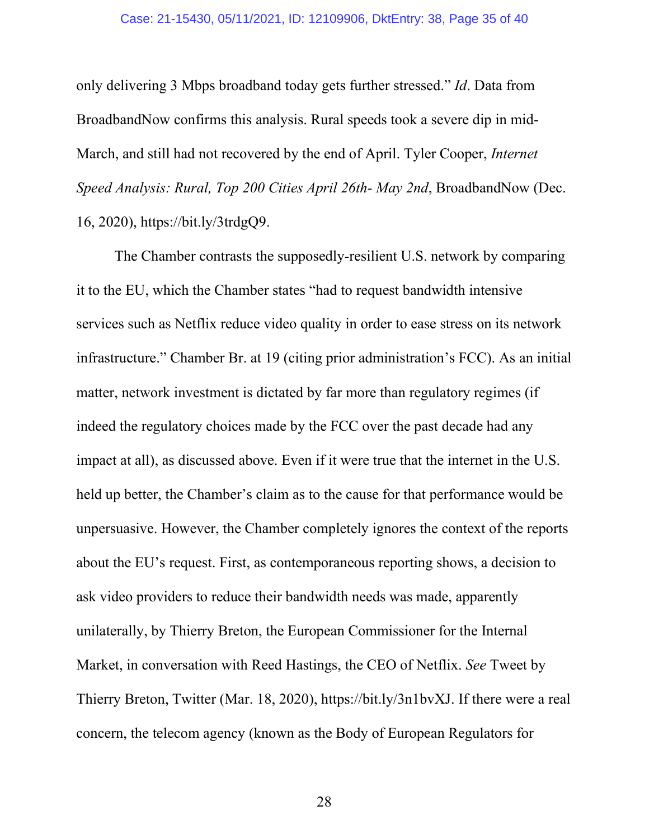only delivering 3 Mbps broadband today gets further stressed." *Id*. Data from BroadbandNow confirms this analysis. Rural speeds took a severe dip in mid-March, and still had not recovered by the end of April. Tyler Cooper, *Internet Speed Analysis: Rural, Top 200 Cities April 26th- May 2nd*, BroadbandNow (Dec. 16, 2020), https://bit.ly/3trdgQ9.

The Chamber contrasts the supposedly-resilient U.S. network by comparing it to the EU, which the Chamber states "had to request bandwidth intensive services such as Netflix reduce video quality in order to ease stress on its network infrastructure." Chamber Br. at 19 (citing prior administration's FCC). As an initial matter, network investment is dictated by far more than regulatory regimes (if indeed the regulatory choices made by the FCC over the past decade had any impact at all), as discussed above. Even if it were true that the internet in the U.S. held up better, the Chamber's claim as to the cause for that performance would be unpersuasive. However, the Chamber completely ignores the context of the reports about the EU's request. First, as contemporaneous reporting shows, a decision to ask video providers to reduce their bandwidth needs was made, apparently unilaterally, by Thierry Breton, the European Commissioner for the Internal Market, in conversation with Reed Hastings, the CEO of Netflix. *See* Tweet by Thierry Breton, Twitter (Mar. 18, 2020), https://bit.ly/3n1bvXJ. If there were a real concern, the telecom agency (known as the Body of European Regulators for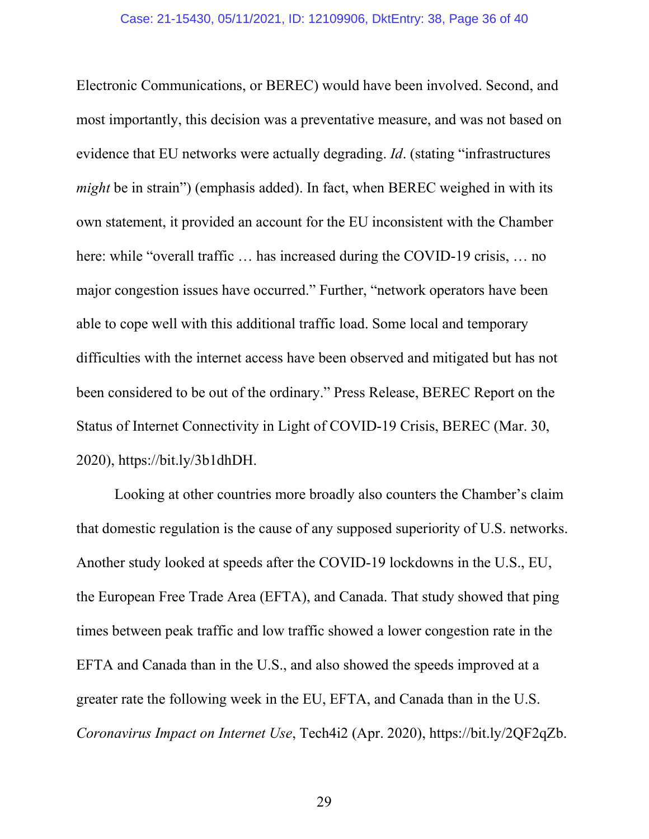Electronic Communications, or BEREC) would have been involved. Second, and most importantly, this decision was a preventative measure, and was not based on evidence that EU networks were actually degrading. *Id*. (stating "infrastructures *might* be in strain") (emphasis added). In fact, when BEREC weighed in with its own statement, it provided an account for the EU inconsistent with the Chamber here: while "overall traffic ... has increased during the COVID-19 crisis, ... no major congestion issues have occurred." Further, "network operators have been able to cope well with this additional traffic load. Some local and temporary difficulties with the internet access have been observed and mitigated but has not been considered to be out of the ordinary." Press Release, BEREC Report on the Status of Internet Connectivity in Light of COVID-19 Crisis, BEREC (Mar. 30, 2020), https://bit.ly/3b1dhDH.

Looking at other countries more broadly also counters the Chamber's claim that domestic regulation is the cause of any supposed superiority of U.S. networks. Another study looked at speeds after the COVID-19 lockdowns in the U.S., EU, the European Free Trade Area (EFTA), and Canada. That study showed that ping times between peak traffic and low traffic showed a lower congestion rate in the EFTA and Canada than in the U.S., and also showed the speeds improved at a greater rate the following week in the EU, EFTA, and Canada than in the U.S. *Coronavirus Impact on Internet Use*, Tech4i2 (Apr. 2020), https://bit.ly/2QF2qZb.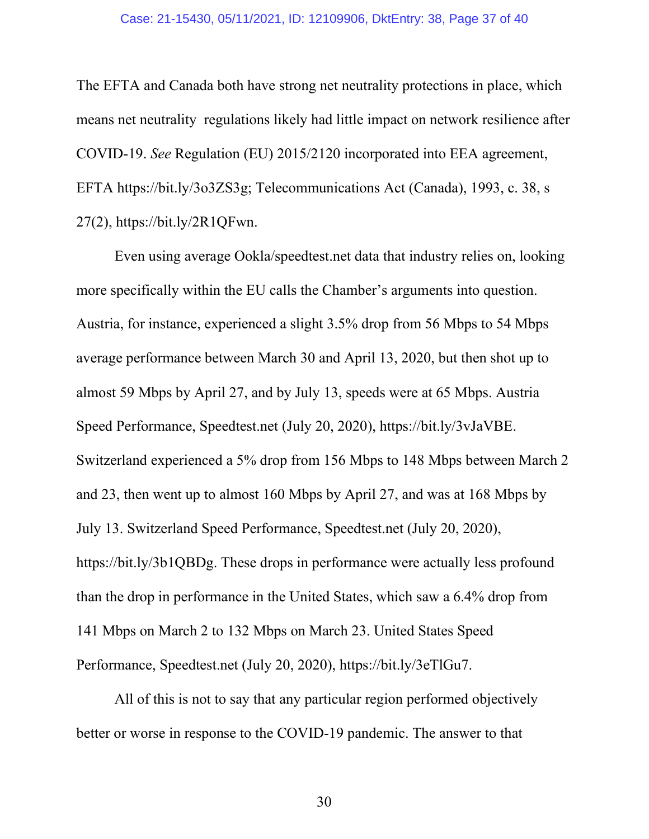The EFTA and Canada both have strong net neutrality protections in place, which means net neutrality regulations likely had little impact on network resilience after COVID-19. *See* Regulation (EU) 2015/2120 incorporated into EEA agreement, EFTA https://bit.ly/3o3ZS3g; Telecommunications Act (Canada), 1993, c. 38, s 27(2), https://bit.ly/2R1QFwn.

Even using average Ookla/speedtest.net data that industry relies on, looking more specifically within the EU calls the Chamber's arguments into question. Austria, for instance, experienced a slight 3.5% drop from 56 Mbps to 54 Mbps average performance between March 30 and April 13, 2020, but then shot up to almost 59 Mbps by April 27, and by July 13, speeds were at 65 Mbps. Austria Speed Performance, Speedtest.net (July 20, 2020), https://bit.ly/3vJaVBE. Switzerland experienced a 5% drop from 156 Mbps to 148 Mbps between March 2 and 23, then went up to almost 160 Mbps by April 27, and was at 168 Mbps by July 13. Switzerland Speed Performance, Speedtest.net (July 20, 2020), https://bit.ly/3b1QBDg. These drops in performance were actually less profound than the drop in performance in the United States, which saw a 6.4% drop from 141 Mbps on March 2 to 132 Mbps on March 23. United States Speed Performance, Speedtest.net (July 20, 2020), https://bit.ly/3eTlGu7.

All of this is not to say that any particular region performed objectively better or worse in response to the COVID-19 pandemic. The answer to that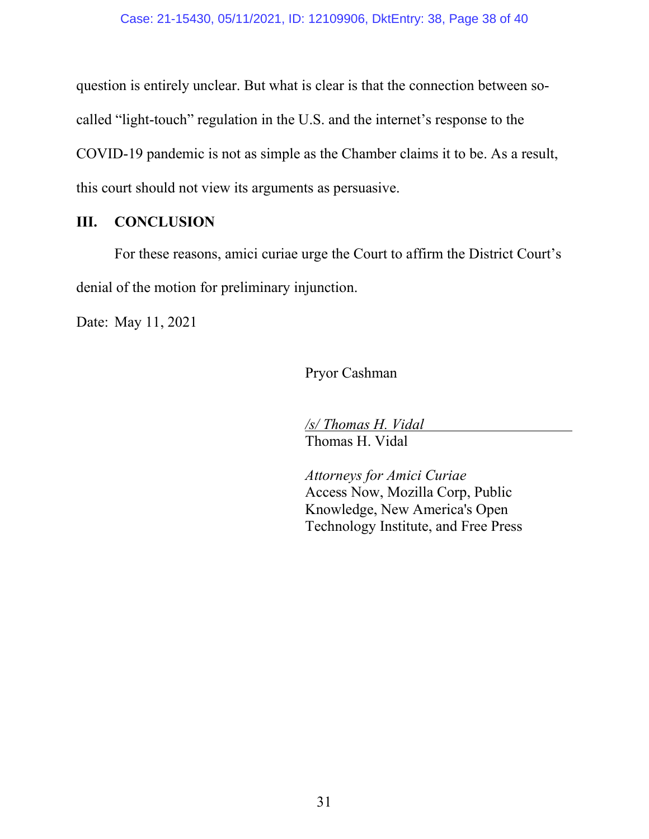question is entirely unclear. But what is clear is that the connection between socalled "light-touch" regulation in the U.S. and the internet's response to the COVID-19 pandemic is not as simple as the Chamber claims it to be. As a result, this court should not view its arguments as persuasive.

### <span id="page-37-0"></span>**III. CONCLUSION**

For these reasons, amici curiae urge the Court to affirm the District Court's denial of the motion for preliminary injunction.

Date: May 11, 2021

Pryor Cashman

*/s/ Thomas H. Vidal*  Thomas H. Vidal

*Attorneys for Amici Curiae*  Access Now, Mozilla Corp, Public Knowledge, New America's Open Technology Institute, and Free Press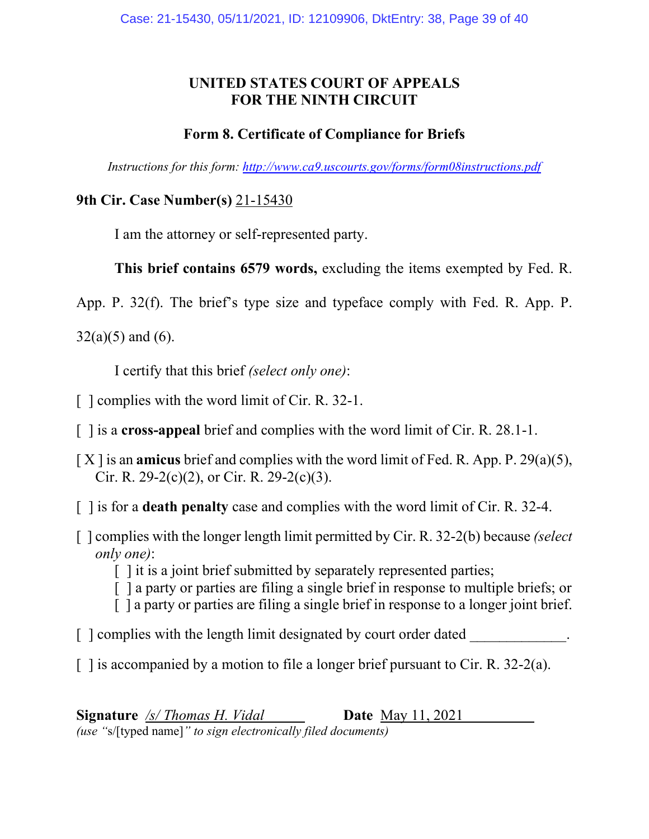## **UNITED STATES COURT OF APPEALS FOR THE NINTH CIRCUIT**

## **Form 8. Certificate of Compliance for Briefs**

*Instructions for this form: http://www.ca9.uscourts.gov/forms/form08instructions.pdf*

## **9th Cir. Case Number(s)** 21-15430

I am the attorney or self-represented party.

**This brief contains 6579 words,** excluding the items exempted by Fed. R.

App. P. 32(f). The brief's type size and typeface comply with Fed. R. App. P.

 $32(a)(5)$  and (6).

I certify that this brief *(select only one)*:

- [ ] complies with the word limit of Cir. R. 32-1.
- [ ] is a **cross-appeal** brief and complies with the word limit of Cir. R. 28.1-1.
- [ X ] is an **amicus** brief and complies with the word limit of Fed. R. App. P. 29(a)(5), Cir. R. 29-2(c)(2), or Cir. R. 29-2(c)(3).
- [ ] is for a **death penalty** case and complies with the word limit of Cir. R. 32-4.
- [ ] complies with the longer length limit permitted by Cir. R. 32-2(b) because *(select only one)*:
	- [] it is a joint brief submitted by separately represented parties;
	- [ ] a party or parties are filing a single brief in response to multiple briefs; or
	- [ ] a party or parties are filing a single brief in response to a longer joint brief.
- $\lceil$   $\lceil$  complies with the length limit designated by court order dated
- $\lceil$  1 is accompanied by a motion to file a longer brief pursuant to Cir. R. 32-2(a).

**Signature** */s/ Thomas H. Vidal* **Date** May 11, 2021 *(use "*s/[typed name]*" to sign electronically filed documents)*